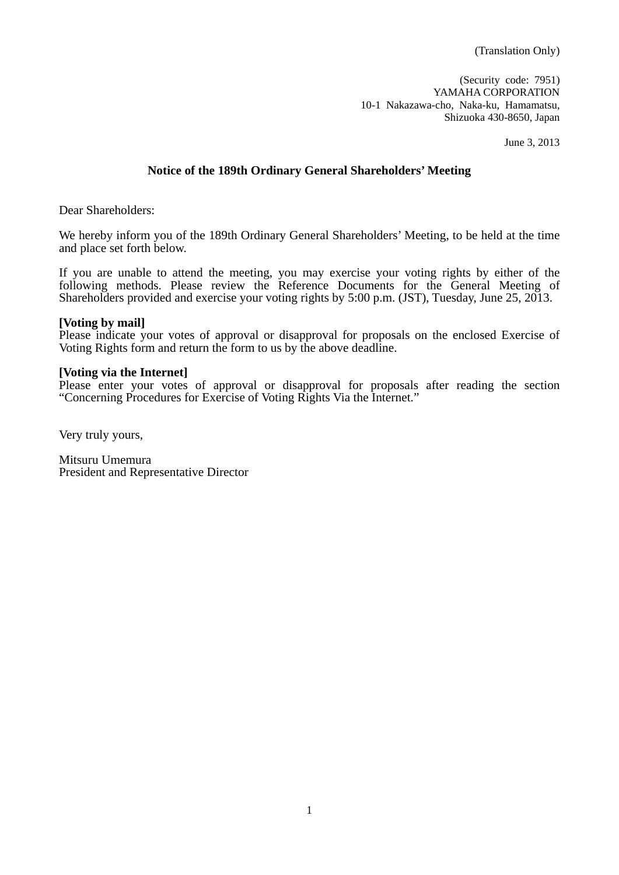(Security code: 7951) YAMAHA CORPORATION 10-1 Nakazawa-cho, Naka-ku, Hamamatsu, Shizuoka 430-8650, Japan

June 3, 2013

### **Notice of the 189th Ordinary General Shareholders' Meeting**

Dear Shareholders:

We hereby inform you of the 189th Ordinary General Shareholders' Meeting, to be held at the time and place set forth below.

If you are unable to attend the meeting, you may exercise your voting rights by either of the following methods. Please review the Reference Documents for the General Meeting of Shareholders provided and exercise your voting rights by 5:00 p.m. (JST), Tuesday, June 25, 2013.

### **[Voting by mail]**

Please indicate your votes of approval or disapproval for proposals on the enclosed Exercise of Voting Rights form and return the form to us by the above deadline.

### **[Voting via the Internet]**

Please enter your votes of approval or disapproval for proposals after reading the section "Concerning Procedures for Exercise of Voting Rights Via the Internet."

Very truly yours,

Mitsuru Umemura President and Representative Director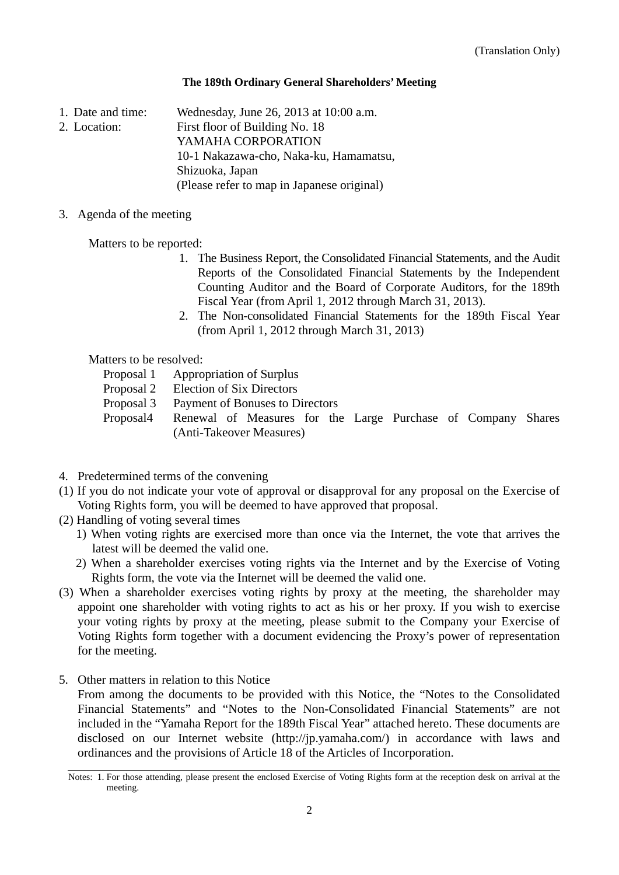### **The 189th Ordinary General Shareholders' Meeting**

- 1. Date and time: Wednesday, June 26, 2013 at 10:00 a.m.
- 2. Location: First floor of Building No. 18
	- YAMAHA CORPORATION
		- 10-1 Nakazawa-cho, Naka-ku, Hamamatsu,
			- Shizuoka, Japan

(Please refer to map in Japanese original)

### 3. Agenda of the meeting

Matters to be reported:

- 1. The Business Report, the Consolidated Financial Statements, and the Audit Reports of the Consolidated Financial Statements by the Independent Counting Auditor and the Board of Corporate Auditors, for the 189th Fiscal Year (from April 1, 2012 through March 31, 2013).
- 2. The Non-consolidated Financial Statements for the 189th Fiscal Year (from April 1, 2012 through March 31, 2013)

Matters to be resolved:

- Proposal 1 Appropriation of Surplus
- Proposal 2 Election of Six Directors
- Proposal 3 Payment of Bonuses to Directors
- Proposal4 Renewal of Measures for the Large Purchase of Company Shares (Anti-Takeover Measures)
- 4. Predetermined terms of the convening
- (1) If you do not indicate your vote of approval or disapproval for any proposal on the Exercise of Voting Rights form, you will be deemed to have approved that proposal.
- (2) Handling of voting several times
	- 1) When voting rights are exercised more than once via the Internet, the vote that arrives the latest will be deemed the valid one.
	- 2) When a shareholder exercises voting rights via the Internet and by the Exercise of Voting Rights form, the vote via the Internet will be deemed the valid one.
- (3) When a shareholder exercises voting rights by proxy at the meeting, the shareholder may appoint one shareholder with voting rights to act as his or her proxy. If you wish to exercise your voting rights by proxy at the meeting, please submit to the Company your Exercise of Voting Rights form together with a document evidencing the Proxy's power of representation for the meeting.
- 5. Other matters in relation to this Notice

 From among the documents to be provided with this Notice, the "Notes to the Consolidated Financial Statements" and "Notes to the Non-Consolidated Financial Statements" are not included in the "Yamaha Report for the 189th Fiscal Year" attached hereto. These documents are disclosed on our Internet website (http://jp.yamaha.com/) in accordance with laws and ordinances and the provisions of Article 18 of the Articles of Incorporation.

Notes: 1. For those attending, please present the enclosed Exercise of Voting Rights form at the reception desk on arrival at the meeting.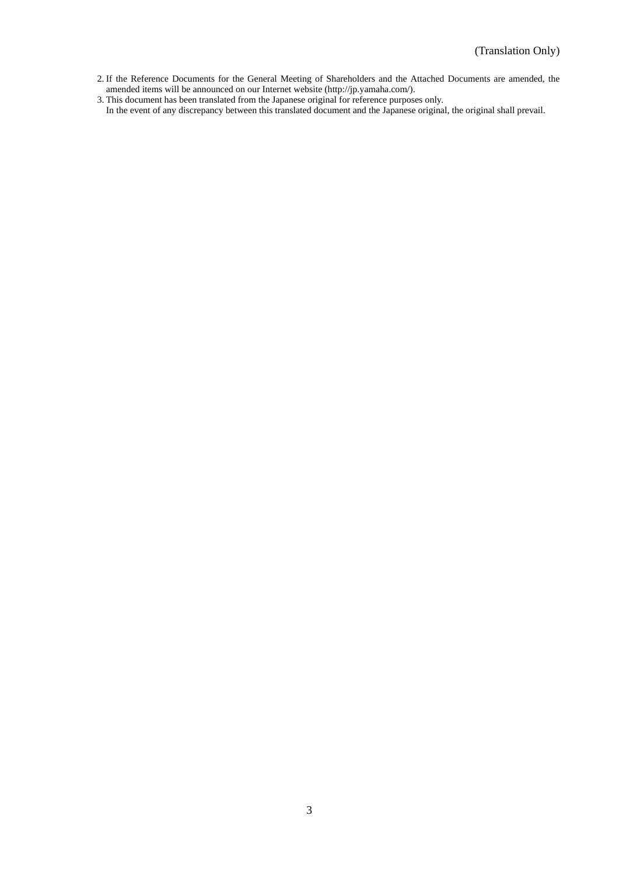2. If the Reference Documents for the General Meeting of Shareholders and the Attached Documents are amended, the amended items will be announced on our Internet website (http://jp.yamaha.com/).

3. This document has been translated from the Japanese original for reference purposes only.

In the event of any discrepancy between this translated document and the Japanese original, the original shall prevail.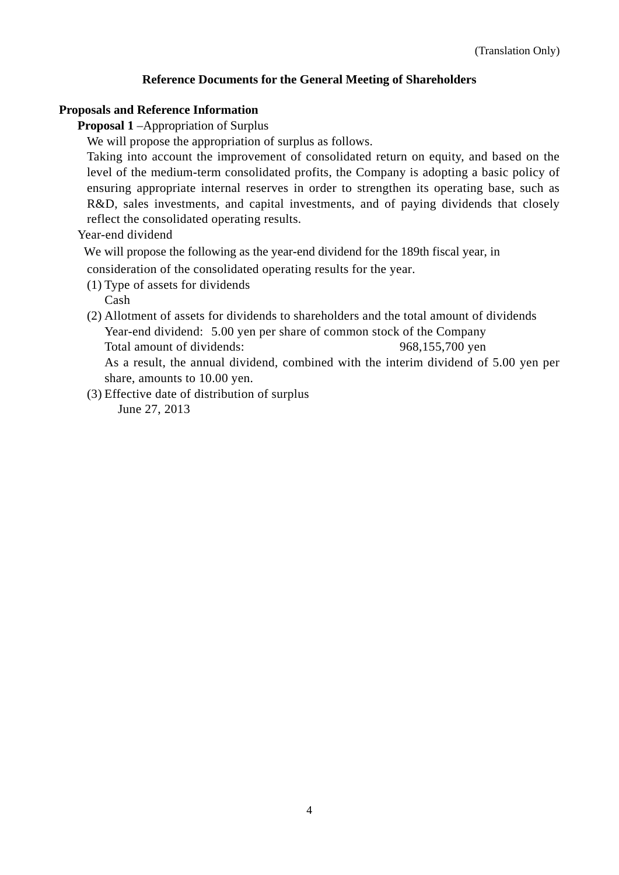### **Reference Documents for the General Meeting of Shareholders**

### **Proposals and Reference Information**

**Proposal 1** –Appropriation of Surplus

We will propose the appropriation of surplus as follows.

Taking into account the improvement of consolidated return on equity, and based on the level of the medium-term consolidated profits, the Company is adopting a basic policy of ensuring appropriate internal reserves in order to strengthen its operating base, such as R&D, sales investments, and capital investments, and of paying dividends that closely reflect the consolidated operating results.

### Year-end dividend

We will propose the following as the year-end dividend for the 189th fiscal year, in

consideration of the consolidated operating results for the year.

(1) Type of assets for dividends

Cash

- (2) Allotment of assets for dividends to shareholders and the total amount of dividends Year-end dividend: 5.00 yen per share of common stock of the Company Total amount of dividends: 968,155,700 yen As a result, the annual dividend, combined with the interim dividend of 5.00 yen per share, amounts to 10.00 yen.
- (3) Effective date of distribution of surplus June 27, 2013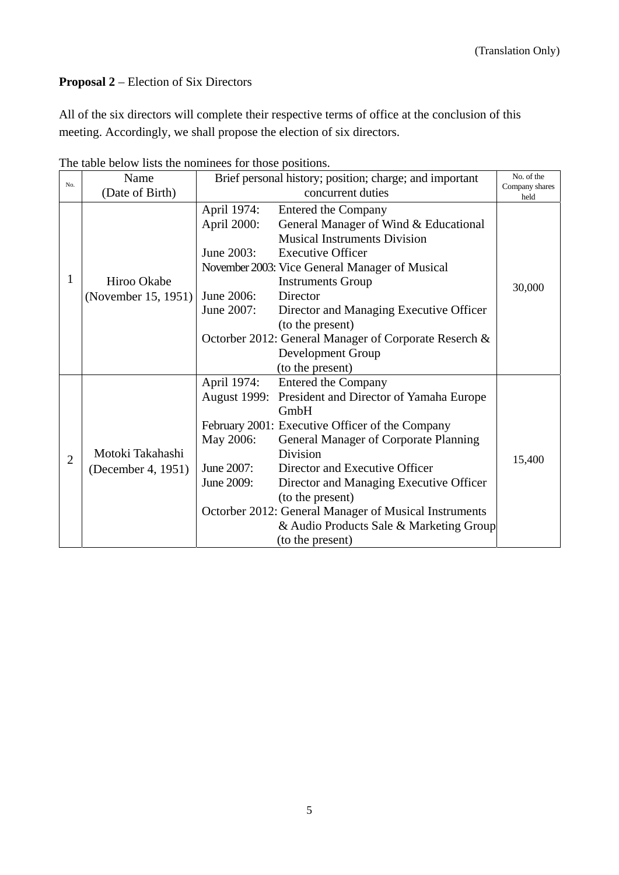## **Proposal 2** – Election of Six Directors

All of the six directors will complete their respective terms of office at the conclusion of this meeting. Accordingly, we shall propose the election of six directors.

| No.            | Name                | Brief personal history; position; charge; and important |                                                 | No. of the             |
|----------------|---------------------|---------------------------------------------------------|-------------------------------------------------|------------------------|
|                | (Date of Birth)     | concurrent duties                                       |                                                 | Company shares<br>held |
|                |                     | April 1974:                                             | <b>Entered the Company</b>                      |                        |
|                |                     | April 2000:                                             | General Manager of Wind & Educational           |                        |
|                |                     |                                                         | <b>Musical Instruments Division</b>             |                        |
|                |                     | June 2003:                                              | <b>Executive Officer</b>                        |                        |
|                |                     |                                                         | November 2003: Vice General Manager of Musical  |                        |
| 1              | Hiroo Okabe         |                                                         | <b>Instruments Group</b>                        | 30,000                 |
|                | (November 15, 1951) | June 2006:                                              | Director                                        |                        |
|                |                     | June 2007:                                              | Director and Managing Executive Officer         |                        |
|                |                     |                                                         | (to the present)                                |                        |
|                |                     | Octorber 2012: General Manager of Corporate Reserch &   |                                                 |                        |
|                |                     |                                                         | Development Group                               |                        |
|                |                     |                                                         | (to the present)                                |                        |
|                |                     | April 1974:                                             | <b>Entered the Company</b>                      |                        |
|                |                     | <b>August 1999:</b>                                     | President and Director of Yamaha Europe         |                        |
|                |                     |                                                         | GmbH                                            |                        |
|                |                     |                                                         | February 2001: Executive Officer of the Company |                        |
|                |                     | May 2006:                                               | <b>General Manager of Corporate Planning</b>    |                        |
| $\overline{2}$ | Motoki Takahashi    |                                                         | Division                                        | 15,400                 |
|                | (December 4, 1951)  | June 2007:                                              | Director and Executive Officer                  |                        |
|                |                     | June 2009:                                              | Director and Managing Executive Officer         |                        |
|                |                     |                                                         | (to the present)                                |                        |
|                |                     | Octorber 2012: General Manager of Musical Instruments   |                                                 |                        |
|                |                     |                                                         | & Audio Products Sale & Marketing Group         |                        |
|                |                     |                                                         | (to the present)                                |                        |

The table below lists the nominees for those positions.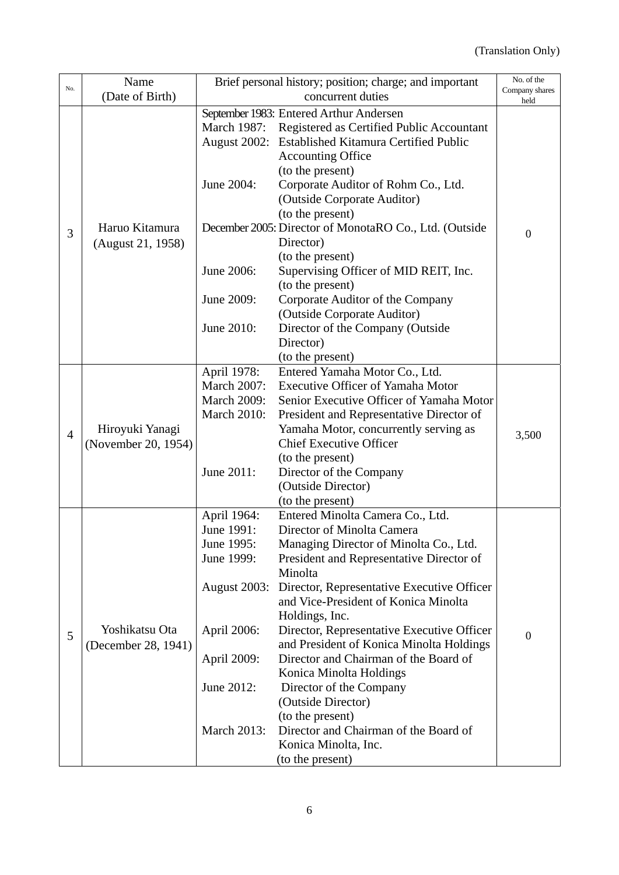| No.            | Name                                | Brief personal history; position; charge; and important |                                                        | No. of the             |
|----------------|-------------------------------------|---------------------------------------------------------|--------------------------------------------------------|------------------------|
|                | (Date of Birth)                     | concurrent duties                                       |                                                        | Company shares<br>held |
|                |                                     |                                                         | September 1983: Entered Arthur Andersen                |                        |
|                |                                     | March 1987:                                             | Registered as Certified Public Accountant              |                        |
|                | Haruo Kitamura<br>(August 21, 1958) | August 2002:                                            | <b>Established Kitamura Certified Public</b>           |                        |
|                |                                     |                                                         | <b>Accounting Office</b>                               |                        |
|                |                                     |                                                         | (to the present)                                       |                        |
|                |                                     | June 2004:                                              | Corporate Auditor of Rohm Co., Ltd.                    |                        |
|                |                                     |                                                         | (Outside Corporate Auditor)                            |                        |
|                |                                     |                                                         | (to the present)                                       |                        |
|                |                                     |                                                         | December 2005: Director of MonotaRO Co., Ltd. (Outside |                        |
| 3              |                                     |                                                         | Director)                                              | $\overline{0}$         |
|                |                                     |                                                         | (to the present)                                       |                        |
|                |                                     | June 2006:                                              | Supervising Officer of MID REIT, Inc.                  |                        |
|                |                                     |                                                         | (to the present)                                       |                        |
|                |                                     | June 2009:                                              | Corporate Auditor of the Company                       |                        |
|                |                                     |                                                         | (Outside Corporate Auditor)                            |                        |
|                |                                     | June 2010:                                              | Director of the Company (Outside                       |                        |
|                |                                     |                                                         | Director)                                              |                        |
|                |                                     |                                                         | (to the present)                                       |                        |
|                | Hiroyuki Yanagi                     | April 1978:                                             | Entered Yamaha Motor Co., Ltd.                         |                        |
|                |                                     | <b>March 2007:</b>                                      | <b>Executive Officer of Yamaha Motor</b>               |                        |
|                |                                     | <b>March 2009:</b>                                      | Senior Executive Officer of Yamaha Motor               |                        |
|                |                                     | <b>March 2010:</b>                                      | President and Representative Director of               |                        |
| $\overline{4}$ |                                     |                                                         | Yamaha Motor, concurrently serving as                  | 3,500                  |
|                | (November 20, 1954)                 |                                                         | <b>Chief Executive Officer</b>                         |                        |
|                |                                     |                                                         | (to the present)                                       |                        |
|                |                                     | June 2011:                                              | Director of the Company                                |                        |
|                |                                     |                                                         | (Outside Director)                                     |                        |
|                |                                     |                                                         | (to the present)                                       |                        |
|                |                                     | April 1964:                                             | Entered Minolta Camera Co., Ltd.                       |                        |
|                |                                     | June 1991:                                              | Director of Minolta Camera                             |                        |
|                |                                     | June 1995:                                              | Managing Director of Minolta Co., Ltd.                 |                        |
|                |                                     | June 1999:                                              | President and Representative Director of               |                        |
|                |                                     |                                                         | Minolta                                                |                        |
|                |                                     | August 2003:                                            | Director, Representative Executive Officer             |                        |
|                |                                     |                                                         | and Vice-President of Konica Minolta                   |                        |
|                |                                     |                                                         | Holdings, Inc.                                         |                        |
| 5              | Yoshikatsu Ota                      | April 2006:                                             | Director, Representative Executive Officer             | $\overline{0}$         |
|                | (December 28, 1941)                 |                                                         | and President of Konica Minolta Holdings               |                        |
|                |                                     | April 2009:                                             | Director and Chairman of the Board of                  |                        |
|                |                                     |                                                         | Konica Minolta Holdings                                |                        |
|                |                                     | June 2012:                                              | Director of the Company                                |                        |
|                |                                     |                                                         | (Outside Director)                                     |                        |
|                |                                     |                                                         | (to the present)                                       |                        |
|                |                                     | March 2013:                                             | Director and Chairman of the Board of                  |                        |
|                |                                     |                                                         | Konica Minolta, Inc.                                   |                        |
|                |                                     |                                                         | (to the present)                                       |                        |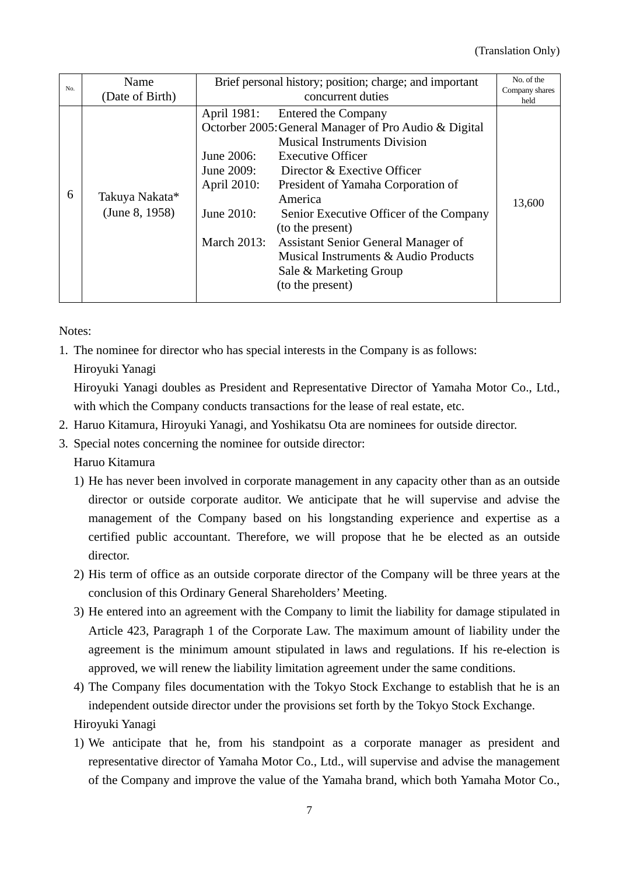| No. | Name                             | Brief personal history; position; charge; and important                                    |                                                                                                                                                                                                                                                                                                                                                                                                                             | No. of the             |
|-----|----------------------------------|--------------------------------------------------------------------------------------------|-----------------------------------------------------------------------------------------------------------------------------------------------------------------------------------------------------------------------------------------------------------------------------------------------------------------------------------------------------------------------------------------------------------------------------|------------------------|
|     | (Date of Birth)                  | concurrent duties                                                                          |                                                                                                                                                                                                                                                                                                                                                                                                                             | Company shares<br>held |
| 6   | Takuya Nakata*<br>(June 8, 1958) | April 1981:<br>June 2006:<br>June 2009:<br>April 2010:<br>June 2010:<br><b>March 2013:</b> | Entered the Company<br>Octorber 2005: General Manager of Pro Audio & Digital<br><b>Musical Instruments Division</b><br><b>Executive Officer</b><br>Director & Exective Officer<br>President of Yamaha Corporation of<br>America<br>Senior Executive Officer of the Company<br>(to the present)<br>Assistant Senior General Manager of<br>Musical Instruments & Audio Products<br>Sale & Marketing Group<br>(to the present) | 13,600                 |

Notes:

- 1. The nominee for director who has special interests in the Company is as follows:
	- Hiroyuki Yanagi

Hiroyuki Yanagi doubles as President and Representative Director of Yamaha Motor Co., Ltd., with which the Company conducts transactions for the lease of real estate, etc.

- 2. Haruo Kitamura, Hiroyuki Yanagi, and Yoshikatsu Ota are nominees for outside director.
- 3. Special notes concerning the nominee for outside director: Haruo Kitamura
	- 1) He has never been involved in corporate management in any capacity other than as an outside director or outside corporate auditor. We anticipate that he will supervise and advise the management of the Company based on his longstanding experience and expertise as a certified public accountant. Therefore, we will propose that he be elected as an outside director.
	- 2) His term of office as an outside corporate director of the Company will be three years at the conclusion of this Ordinary General Shareholders' Meeting.
	- 3) He entered into an agreement with the Company to limit the liability for damage stipulated in Article 423, Paragraph 1 of the Corporate Law. The maximum amount of liability under the agreement is the minimum amount stipulated in laws and regulations. If his re-election is approved, we will renew the liability limitation agreement under the same conditions.
	- 4) The Company files documentation with the Tokyo Stock Exchange to establish that he is an independent outside director under the provisions set forth by the Tokyo Stock Exchange. Hiroyuki Yanagi
	- 1) We anticipate that he, from his standpoint as a corporate manager as president and representative director of Yamaha Motor Co., Ltd., will supervise and advise the management of the Company and improve the value of the Yamaha brand, which both Yamaha Motor Co.,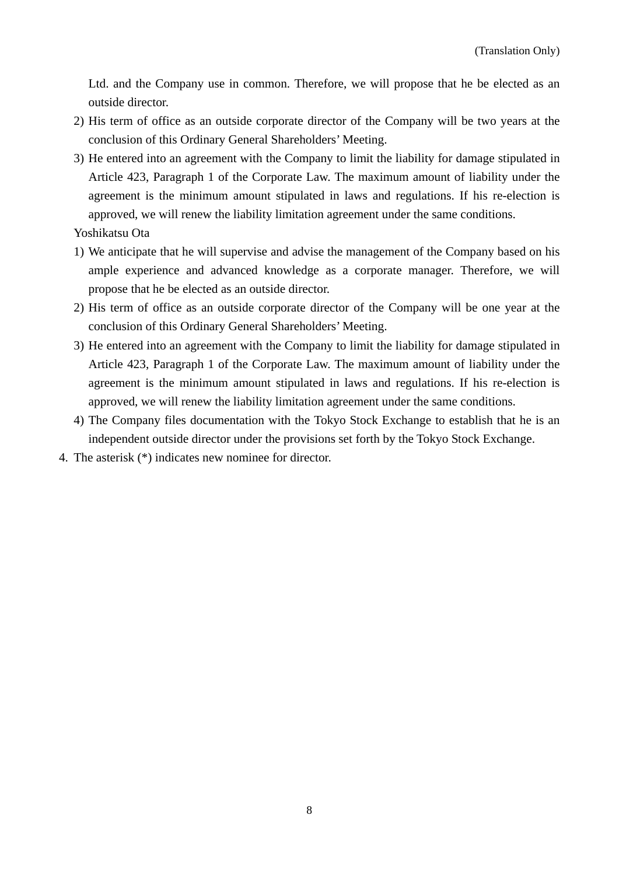Ltd. and the Company use in common. Therefore, we will propose that he be elected as an outside director.

- 2) His term of office as an outside corporate director of the Company will be two years at the conclusion of this Ordinary General Shareholders' Meeting.
- 3) He entered into an agreement with the Company to limit the liability for damage stipulated in Article 423, Paragraph 1 of the Corporate Law. The maximum amount of liability under the agreement is the minimum amount stipulated in laws and regulations. If his re-election is approved, we will renew the liability limitation agreement under the same conditions.

Yoshikatsu Ota

- 1) We anticipate that he will supervise and advise the management of the Company based on his ample experience and advanced knowledge as a corporate manager. Therefore, we will propose that he be elected as an outside director.
- 2) His term of office as an outside corporate director of the Company will be one year at the conclusion of this Ordinary General Shareholders' Meeting.
- 3) He entered into an agreement with the Company to limit the liability for damage stipulated in Article 423, Paragraph 1 of the Corporate Law. The maximum amount of liability under the agreement is the minimum amount stipulated in laws and regulations. If his re-election is approved, we will renew the liability limitation agreement under the same conditions.
- 4) The Company files documentation with the Tokyo Stock Exchange to establish that he is an independent outside director under the provisions set forth by the Tokyo Stock Exchange.
- 4. The asterisk (\*) indicates new nominee for director.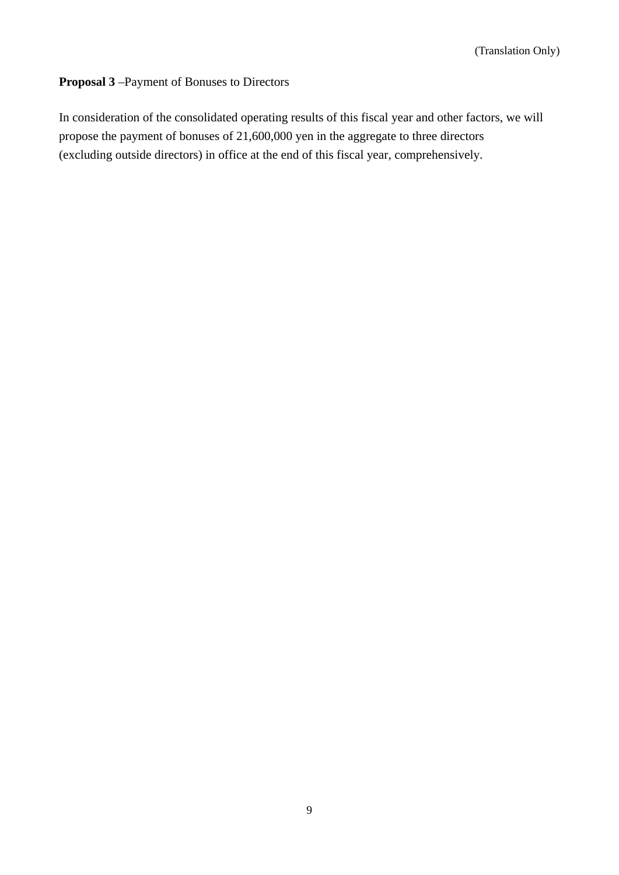## **Proposal 3** –Payment of Bonuses to Directors

In consideration of the consolidated operating results of this fiscal year and other factors, we will propose the payment of bonuses of 21,600,000 yen in the aggregate to three directors (excluding outside directors) in office at the end of this fiscal year, comprehensively.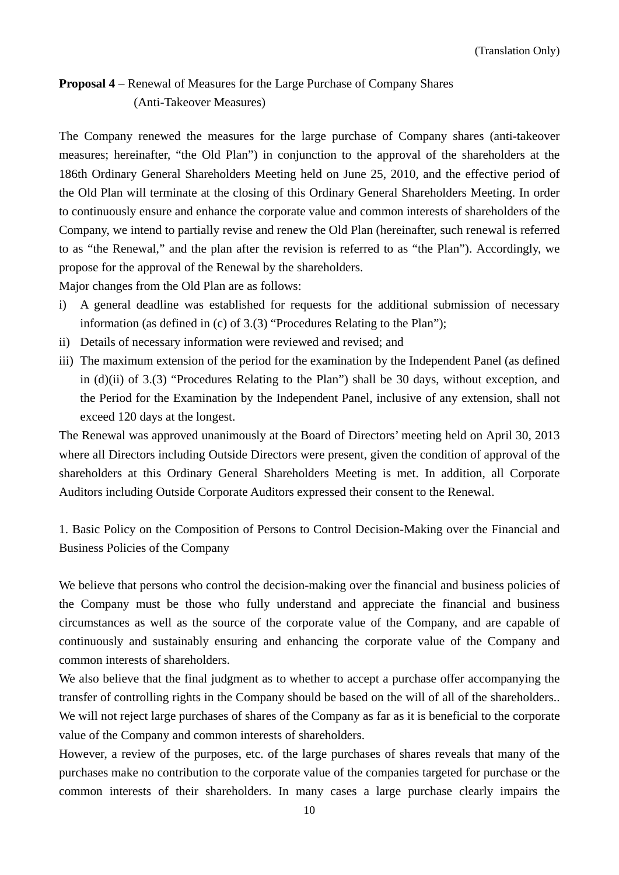## **Proposal 4** – Renewal of Measures for the Large Purchase of Company Shares (Anti-Takeover Measures)

The Company renewed the measures for the large purchase of Company shares (anti-takeover measures; hereinafter, "the Old Plan") in conjunction to the approval of the shareholders at the 186th Ordinary General Shareholders Meeting held on June 25, 2010, and the effective period of the Old Plan will terminate at the closing of this Ordinary General Shareholders Meeting. In order to continuously ensure and enhance the corporate value and common interests of shareholders of the Company, we intend to partially revise and renew the Old Plan (hereinafter, such renewal is referred to as "the Renewal," and the plan after the revision is referred to as "the Plan"). Accordingly, we propose for the approval of the Renewal by the shareholders.

Major changes from the Old Plan are as follows:

- i) A general deadline was established for requests for the additional submission of necessary information (as defined in (c) of 3.(3) "Procedures Relating to the Plan");
- ii) Details of necessary information were reviewed and revised; and
- iii) The maximum extension of the period for the examination by the Independent Panel (as defined in (d)(ii) of 3.(3) "Procedures Relating to the Plan") shall be 30 days, without exception, and the Period for the Examination by the Independent Panel, inclusive of any extension, shall not exceed 120 days at the longest.

The Renewal was approved unanimously at the Board of Directors' meeting held on April 30, 2013 where all Directors including Outside Directors were present, given the condition of approval of the shareholders at this Ordinary General Shareholders Meeting is met. In addition, all Corporate Auditors including Outside Corporate Auditors expressed their consent to the Renewal.

1. Basic Policy on the Composition of Persons to Control Decision-Making over the Financial and Business Policies of the Company

We believe that persons who control the decision-making over the financial and business policies of the Company must be those who fully understand and appreciate the financial and business circumstances as well as the source of the corporate value of the Company, and are capable of continuously and sustainably ensuring and enhancing the corporate value of the Company and common interests of shareholders.

We also believe that the final judgment as to whether to accept a purchase offer accompanying the transfer of controlling rights in the Company should be based on the will of all of the shareholders.. We will not reject large purchases of shares of the Company as far as it is beneficial to the corporate value of the Company and common interests of shareholders.

However, a review of the purposes, etc. of the large purchases of shares reveals that many of the purchases make no contribution to the corporate value of the companies targeted for purchase or the common interests of their shareholders. In many cases a large purchase clearly impairs the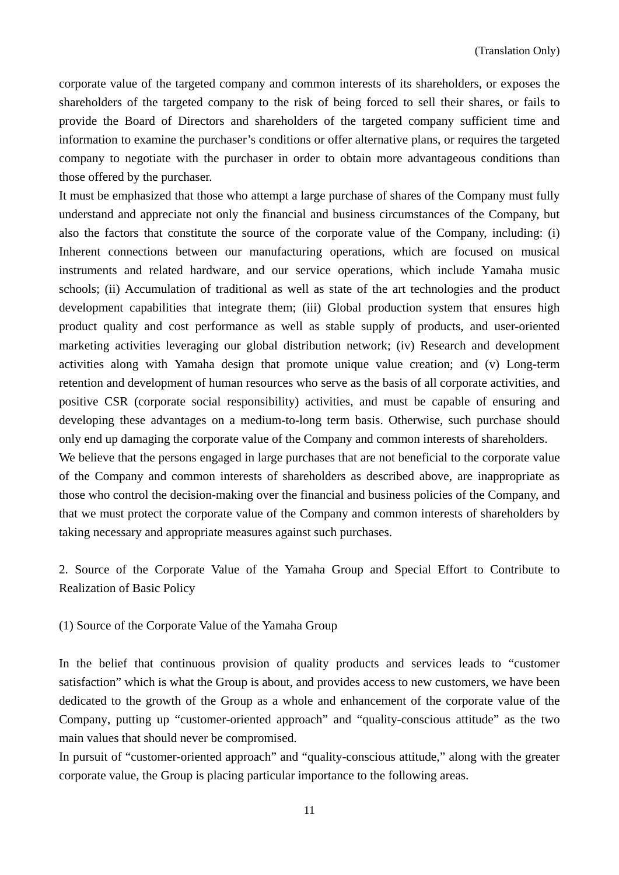corporate value of the targeted company and common interests of its shareholders, or exposes the shareholders of the targeted company to the risk of being forced to sell their shares, or fails to provide the Board of Directors and shareholders of the targeted company sufficient time and information to examine the purchaser's conditions or offer alternative plans, or requires the targeted company to negotiate with the purchaser in order to obtain more advantageous conditions than those offered by the purchaser.

It must be emphasized that those who attempt a large purchase of shares of the Company must fully understand and appreciate not only the financial and business circumstances of the Company, but also the factors that constitute the source of the corporate value of the Company, including: (i) Inherent connections between our manufacturing operations, which are focused on musical instruments and related hardware, and our service operations, which include Yamaha music schools; (ii) Accumulation of traditional as well as state of the art technologies and the product development capabilities that integrate them; (iii) Global production system that ensures high product quality and cost performance as well as stable supply of products, and user-oriented marketing activities leveraging our global distribution network; (iv) Research and development activities along with Yamaha design that promote unique value creation; and (v) Long-term retention and development of human resources who serve as the basis of all corporate activities, and positive CSR (corporate social responsibility) activities, and must be capable of ensuring and developing these advantages on a medium-to-long term basis. Otherwise, such purchase should only end up damaging the corporate value of the Company and common interests of shareholders.

We believe that the persons engaged in large purchases that are not beneficial to the corporate value of the Company and common interests of shareholders as described above, are inappropriate as those who control the decision-making over the financial and business policies of the Company, and that we must protect the corporate value of the Company and common interests of shareholders by taking necessary and appropriate measures against such purchases.

2. Source of the Corporate Value of the Yamaha Group and Special Effort to Contribute to Realization of Basic Policy

(1) Source of the Corporate Value of the Yamaha Group

In the belief that continuous provision of quality products and services leads to "customer satisfaction" which is what the Group is about, and provides access to new customers, we have been dedicated to the growth of the Group as a whole and enhancement of the corporate value of the Company, putting up "customer-oriented approach" and "quality-conscious attitude" as the two main values that should never be compromised.

In pursuit of "customer-oriented approach" and "quality-conscious attitude," along with the greater corporate value, the Group is placing particular importance to the following areas.

11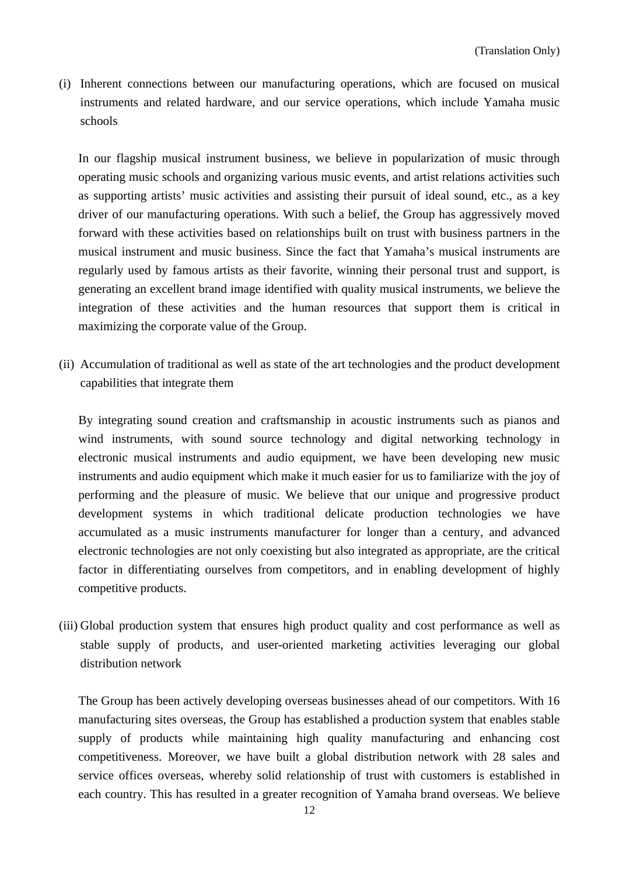(i) Inherent connections between our manufacturing operations, which are focused on musical instruments and related hardware, and our service operations, which include Yamaha music schools

In our flagship musical instrument business, we believe in popularization of music through operating music schools and organizing various music events, and artist relations activities such as supporting artists' music activities and assisting their pursuit of ideal sound, etc., as a key driver of our manufacturing operations. With such a belief, the Group has aggressively moved forward with these activities based on relationships built on trust with business partners in the musical instrument and music business. Since the fact that Yamaha's musical instruments are regularly used by famous artists as their favorite, winning their personal trust and support, is generating an excellent brand image identified with quality musical instruments, we believe the integration of these activities and the human resources that support them is critical in maximizing the corporate value of the Group.

(ii) Accumulation of traditional as well as state of the art technologies and the product development capabilities that integrate them

By integrating sound creation and craftsmanship in acoustic instruments such as pianos and wind instruments, with sound source technology and digital networking technology in electronic musical instruments and audio equipment, we have been developing new music instruments and audio equipment which make it much easier for us to familiarize with the joy of performing and the pleasure of music. We believe that our unique and progressive product development systems in which traditional delicate production technologies we have accumulated as a music instruments manufacturer for longer than a century, and advanced electronic technologies are not only coexisting but also integrated as appropriate, are the critical factor in differentiating ourselves from competitors, and in enabling development of highly competitive products.

(iii) Global production system that ensures high product quality and cost performance as well as stable supply of products, and user-oriented marketing activities leveraging our global distribution network

The Group has been actively developing overseas businesses ahead of our competitors. With 16 manufacturing sites overseas, the Group has established a production system that enables stable supply of products while maintaining high quality manufacturing and enhancing cost competitiveness. Moreover, we have built a global distribution network with 28 sales and service offices overseas, whereby solid relationship of trust with customers is established in each country. This has resulted in a greater recognition of Yamaha brand overseas. We believe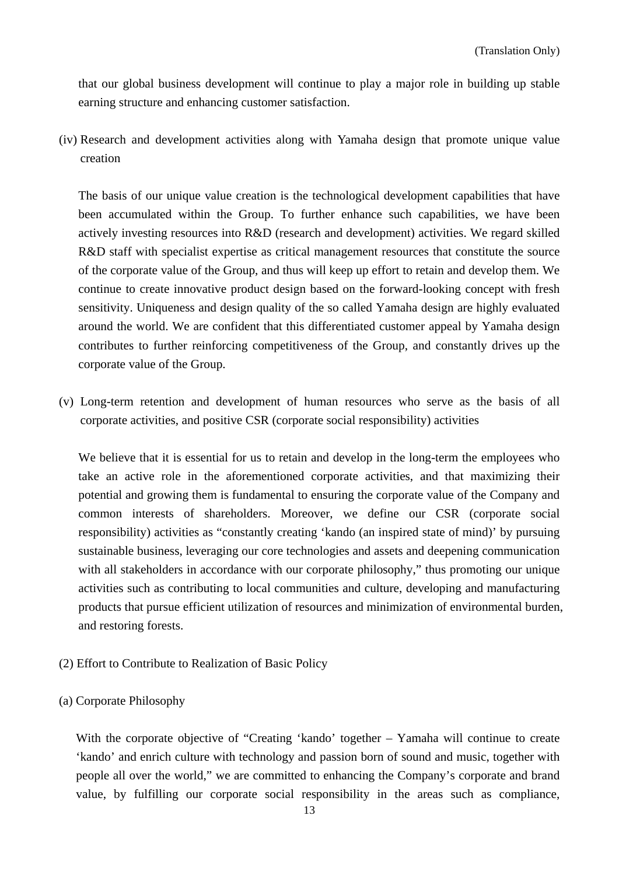that our global business development will continue to play a major role in building up stable earning structure and enhancing customer satisfaction.

(iv) Research and development activities along with Yamaha design that promote unique value creation

The basis of our unique value creation is the technological development capabilities that have been accumulated within the Group. To further enhance such capabilities, we have been actively investing resources into R&D (research and development) activities. We regard skilled R&D staff with specialist expertise as critical management resources that constitute the source of the corporate value of the Group, and thus will keep up effort to retain and develop them. We continue to create innovative product design based on the forward-looking concept with fresh sensitivity. Uniqueness and design quality of the so called Yamaha design are highly evaluated around the world. We are confident that this differentiated customer appeal by Yamaha design contributes to further reinforcing competitiveness of the Group, and constantly drives up the corporate value of the Group.

(v) Long-term retention and development of human resources who serve as the basis of all corporate activities, and positive CSR (corporate social responsibility) activities

We believe that it is essential for us to retain and develop in the long-term the employees who take an active role in the aforementioned corporate activities, and that maximizing their potential and growing them is fundamental to ensuring the corporate value of the Company and common interests of shareholders. Moreover, we define our CSR (corporate social responsibility) activities as "constantly creating 'kando (an inspired state of mind)' by pursuing sustainable business, leveraging our core technologies and assets and deepening communication with all stakeholders in accordance with our corporate philosophy," thus promoting our unique activities such as contributing to local communities and culture, developing and manufacturing products that pursue efficient utilization of resources and minimization of environmental burden, and restoring forests.

- (2) Effort to Contribute to Realization of Basic Policy
- (a) Corporate Philosophy

With the corporate objective of "Creating 'kando' together – Yamaha will continue to create 'kando' and enrich culture with technology and passion born of sound and music, together with people all over the world," we are committed to enhancing the Company's corporate and brand value, by fulfilling our corporate social responsibility in the areas such as compliance,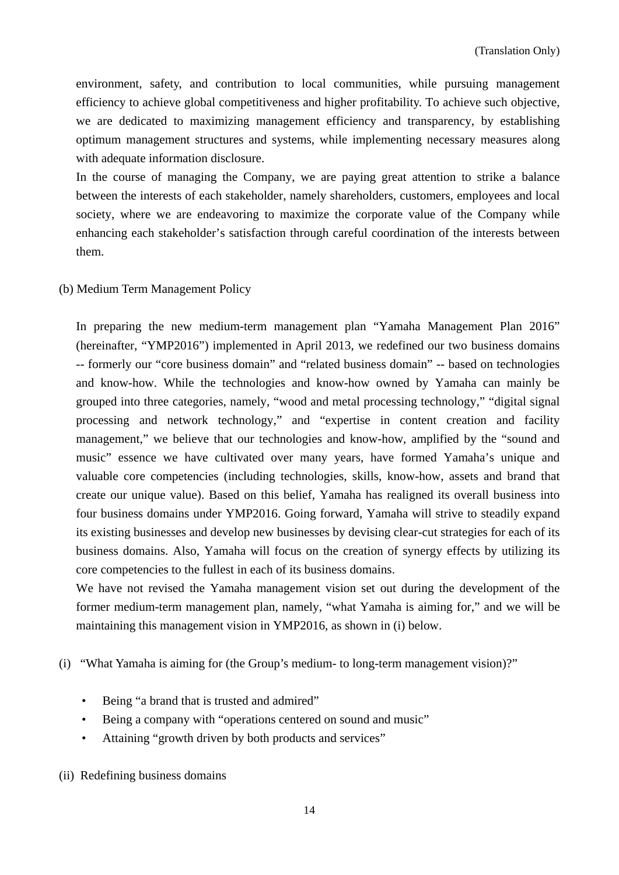environment, safety, and contribution to local communities, while pursuing management efficiency to achieve global competitiveness and higher profitability. To achieve such objective, we are dedicated to maximizing management efficiency and transparency, by establishing optimum management structures and systems, while implementing necessary measures along with adequate information disclosure.

In the course of managing the Company, we are paying great attention to strike a balance between the interests of each stakeholder, namely shareholders, customers, employees and local society, where we are endeavoring to maximize the corporate value of the Company while enhancing each stakeholder's satisfaction through careful coordination of the interests between them.

### (b) Medium Term Management Policy

In preparing the new medium-term management plan "Yamaha Management Plan 2016" (hereinafter, "YMP2016") implemented in April 2013, we redefined our two business domains -- formerly our "core business domain" and "related business domain" -- based on technologies and know-how. While the technologies and know-how owned by Yamaha can mainly be grouped into three categories, namely, "wood and metal processing technology," "digital signal processing and network technology," and "expertise in content creation and facility management," we believe that our technologies and know-how, amplified by the "sound and music" essence we have cultivated over many years, have formed Yamaha's unique and valuable core competencies (including technologies, skills, know-how, assets and brand that create our unique value). Based on this belief, Yamaha has realigned its overall business into four business domains under YMP2016. Going forward, Yamaha will strive to steadily expand its existing businesses and develop new businesses by devising clear-cut strategies for each of its business domains. Also, Yamaha will focus on the creation of synergy effects by utilizing its core competencies to the fullest in each of its business domains.

We have not revised the Yamaha management vision set out during the development of the former medium-term management plan, namely, "what Yamaha is aiming for," and we will be maintaining this management vision in YMP2016, as shown in (i) below.

(i) "What Yamaha is aiming for (the Group's medium- to long-term management vision)?"

- Being "a brand that is trusted and admired"
- Being a company with "operations centered on sound and music"
- Attaining "growth driven by both products and services"

(ii) Redefining business domains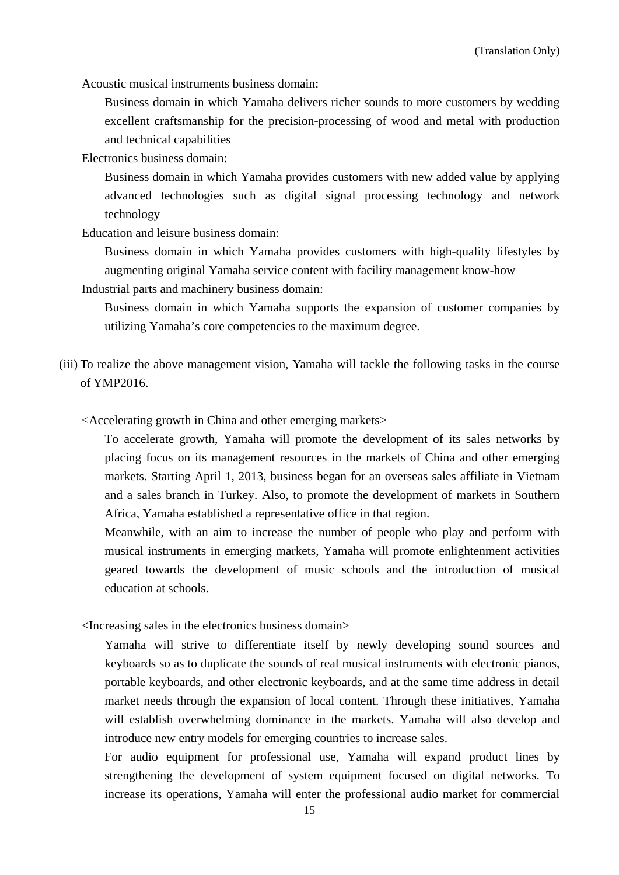Acoustic musical instruments business domain:

Business domain in which Yamaha delivers richer sounds to more customers by wedding excellent craftsmanship for the precision-processing of wood and metal with production and technical capabilities

Electronics business domain:

Business domain in which Yamaha provides customers with new added value by applying advanced technologies such as digital signal processing technology and network technology

Education and leisure business domain:

Business domain in which Yamaha provides customers with high-quality lifestyles by augmenting original Yamaha service content with facility management know-how

Industrial parts and machinery business domain:

Business domain in which Yamaha supports the expansion of customer companies by utilizing Yamaha's core competencies to the maximum degree.

- (iii) To realize the above management vision, Yamaha will tackle the following tasks in the course of YMP2016.
	- <Accelerating growth in China and other emerging markets>

To accelerate growth, Yamaha will promote the development of its sales networks by placing focus on its management resources in the markets of China and other emerging markets. Starting April 1, 2013, business began for an overseas sales affiliate in Vietnam and a sales branch in Turkey. Also, to promote the development of markets in Southern Africa, Yamaha established a representative office in that region.

Meanwhile, with an aim to increase the number of people who play and perform with musical instruments in emerging markets, Yamaha will promote enlightenment activities geared towards the development of music schools and the introduction of musical education at schools.

<Increasing sales in the electronics business domain>

Yamaha will strive to differentiate itself by newly developing sound sources and keyboards so as to duplicate the sounds of real musical instruments with electronic pianos, portable keyboards, and other electronic keyboards, and at the same time address in detail market needs through the expansion of local content. Through these initiatives, Yamaha will establish overwhelming dominance in the markets. Yamaha will also develop and introduce new entry models for emerging countries to increase sales.

For audio equipment for professional use, Yamaha will expand product lines by strengthening the development of system equipment focused on digital networks. To increase its operations, Yamaha will enter the professional audio market for commercial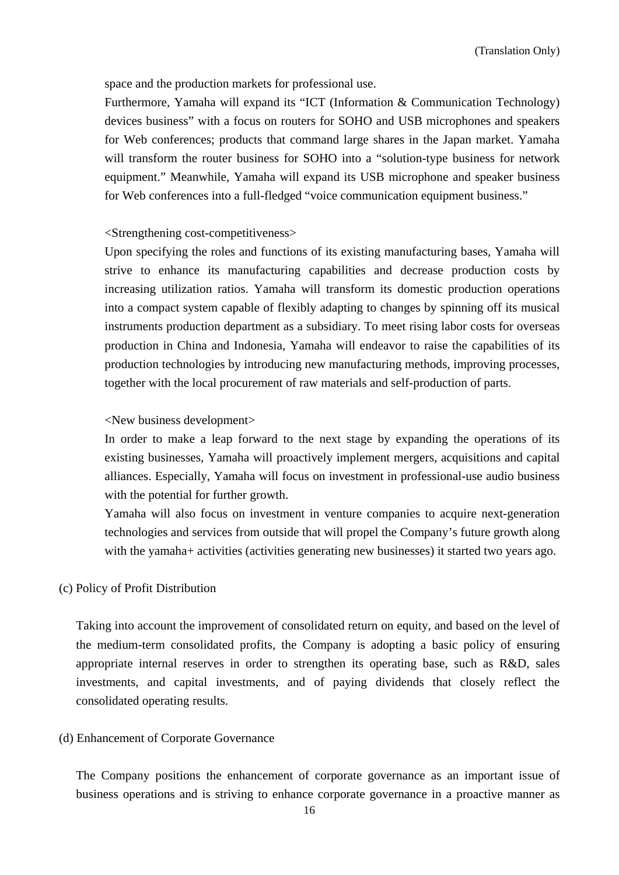space and the production markets for professional use.

Furthermore, Yamaha will expand its "ICT (Information & Communication Technology) devices business" with a focus on routers for SOHO and USB microphones and speakers for Web conferences; products that command large shares in the Japan market. Yamaha will transform the router business for SOHO into a "solution-type business for network equipment." Meanwhile, Yamaha will expand its USB microphone and speaker business for Web conferences into a full-fledged "voice communication equipment business."

### <Strengthening cost-competitiveness>

Upon specifying the roles and functions of its existing manufacturing bases, Yamaha will strive to enhance its manufacturing capabilities and decrease production costs by increasing utilization ratios. Yamaha will transform its domestic production operations into a compact system capable of flexibly adapting to changes by spinning off its musical instruments production department as a subsidiary. To meet rising labor costs for overseas production in China and Indonesia, Yamaha will endeavor to raise the capabilities of its production technologies by introducing new manufacturing methods, improving processes, together with the local procurement of raw materials and self-production of parts.

#### <New business development>

In order to make a leap forward to the next stage by expanding the operations of its existing businesses, Yamaha will proactively implement mergers, acquisitions and capital alliances. Especially, Yamaha will focus on investment in professional-use audio business with the potential for further growth.

Yamaha will also focus on investment in venture companies to acquire next-generation technologies and services from outside that will propel the Company's future growth along with the yamaha+ activities (activities generating new businesses) it started two years ago.

#### (c) Policy of Profit Distribution

Taking into account the improvement of consolidated return on equity, and based on the level of the medium-term consolidated profits, the Company is adopting a basic policy of ensuring appropriate internal reserves in order to strengthen its operating base, such as R&D, sales investments, and capital investments, and of paying dividends that closely reflect the consolidated operating results.

### (d) Enhancement of Corporate Governance

The Company positions the enhancement of corporate governance as an important issue of business operations and is striving to enhance corporate governance in a proactive manner as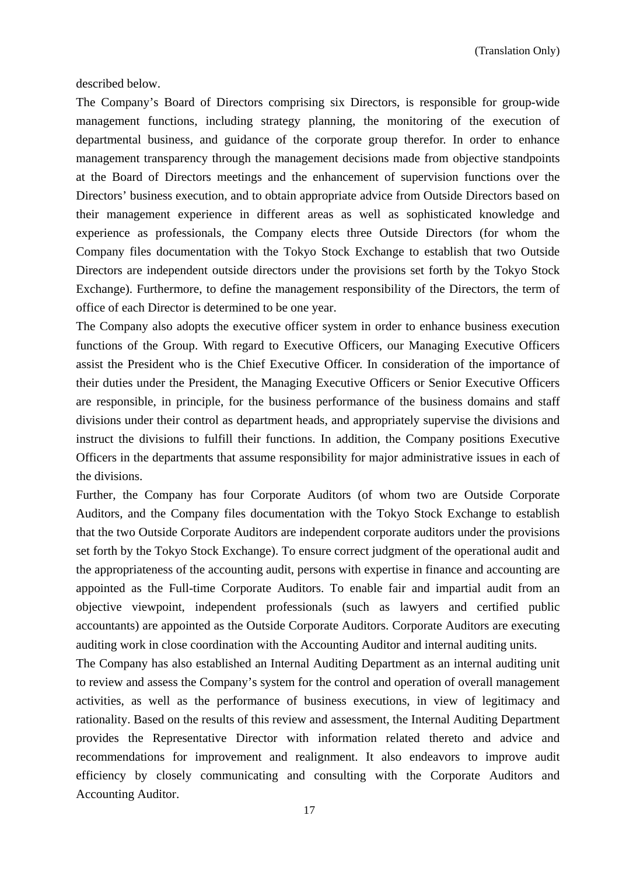described below.

The Company's Board of Directors comprising six Directors, is responsible for group-wide management functions, including strategy planning, the monitoring of the execution of departmental business, and guidance of the corporate group therefor. In order to enhance management transparency through the management decisions made from objective standpoints at the Board of Directors meetings and the enhancement of supervision functions over the Directors' business execution, and to obtain appropriate advice from Outside Directors based on their management experience in different areas as well as sophisticated knowledge and experience as professionals, the Company elects three Outside Directors (for whom the Company files documentation with the Tokyo Stock Exchange to establish that two Outside Directors are independent outside directors under the provisions set forth by the Tokyo Stock Exchange). Furthermore, to define the management responsibility of the Directors, the term of office of each Director is determined to be one year.

The Company also adopts the executive officer system in order to enhance business execution functions of the Group. With regard to Executive Officers, our Managing Executive Officers assist the President who is the Chief Executive Officer. In consideration of the importance of their duties under the President, the Managing Executive Officers or Senior Executive Officers are responsible, in principle, for the business performance of the business domains and staff divisions under their control as department heads, and appropriately supervise the divisions and instruct the divisions to fulfill their functions. In addition, the Company positions Executive Officers in the departments that assume responsibility for major administrative issues in each of the divisions.

Further, the Company has four Corporate Auditors (of whom two are Outside Corporate Auditors, and the Company files documentation with the Tokyo Stock Exchange to establish that the two Outside Corporate Auditors are independent corporate auditors under the provisions set forth by the Tokyo Stock Exchange). To ensure correct judgment of the operational audit and the appropriateness of the accounting audit, persons with expertise in finance and accounting are appointed as the Full-time Corporate Auditors. To enable fair and impartial audit from an objective viewpoint, independent professionals (such as lawyers and certified public accountants) are appointed as the Outside Corporate Auditors. Corporate Auditors are executing auditing work in close coordination with the Accounting Auditor and internal auditing units.

The Company has also established an Internal Auditing Department as an internal auditing unit to review and assess the Company's system for the control and operation of overall management activities, as well as the performance of business executions, in view of legitimacy and rationality. Based on the results of this review and assessment, the Internal Auditing Department provides the Representative Director with information related thereto and advice and recommendations for improvement and realignment. It also endeavors to improve audit efficiency by closely communicating and consulting with the Corporate Auditors and Accounting Auditor.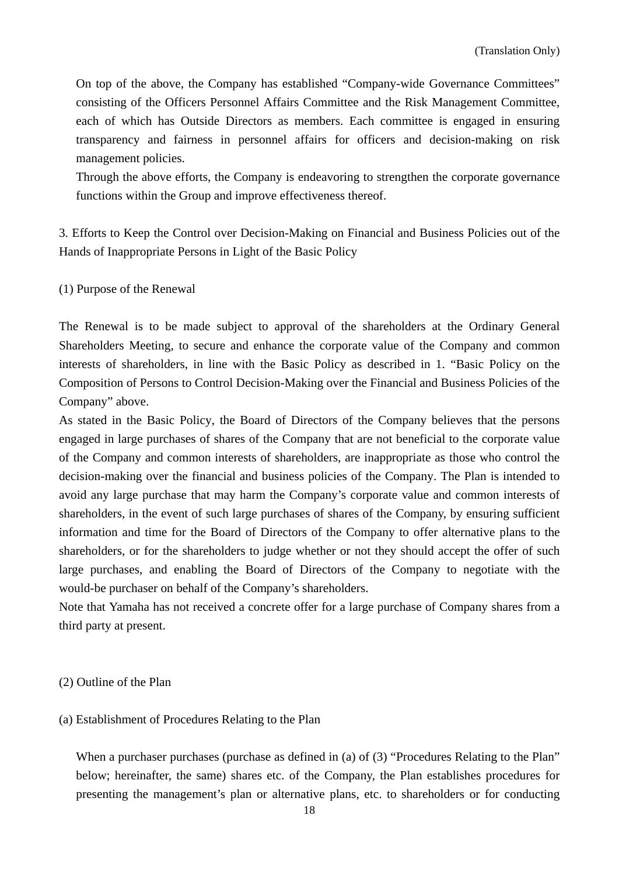On top of the above, the Company has established "Company-wide Governance Committees" consisting of the Officers Personnel Affairs Committee and the Risk Management Committee, each of which has Outside Directors as members. Each committee is engaged in ensuring transparency and fairness in personnel affairs for officers and decision-making on risk management policies.

Through the above efforts, the Company is endeavoring to strengthen the corporate governance functions within the Group and improve effectiveness thereof.

3. Efforts to Keep the Control over Decision-Making on Financial and Business Policies out of the Hands of Inappropriate Persons in Light of the Basic Policy

(1) Purpose of the Renewal

The Renewal is to be made subject to approval of the shareholders at the Ordinary General Shareholders Meeting, to secure and enhance the corporate value of the Company and common interests of shareholders, in line with the Basic Policy as described in 1. "Basic Policy on the Composition of Persons to Control Decision-Making over the Financial and Business Policies of the Company" above.

As stated in the Basic Policy, the Board of Directors of the Company believes that the persons engaged in large purchases of shares of the Company that are not beneficial to the corporate value of the Company and common interests of shareholders, are inappropriate as those who control the decision-making over the financial and business policies of the Company. The Plan is intended to avoid any large purchase that may harm the Company's corporate value and common interests of shareholders, in the event of such large purchases of shares of the Company, by ensuring sufficient information and time for the Board of Directors of the Company to offer alternative plans to the shareholders, or for the shareholders to judge whether or not they should accept the offer of such large purchases, and enabling the Board of Directors of the Company to negotiate with the would-be purchaser on behalf of the Company's shareholders.

Note that Yamaha has not received a concrete offer for a large purchase of Company shares from a third party at present.

#### (2) Outline of the Plan

#### (a) Establishment of Procedures Relating to the Plan

When a purchaser purchases (purchase as defined in (a) of (3) "Procedures Relating to the Plan" below; hereinafter, the same) shares etc. of the Company, the Plan establishes procedures for presenting the management's plan or alternative plans, etc. to shareholders or for conducting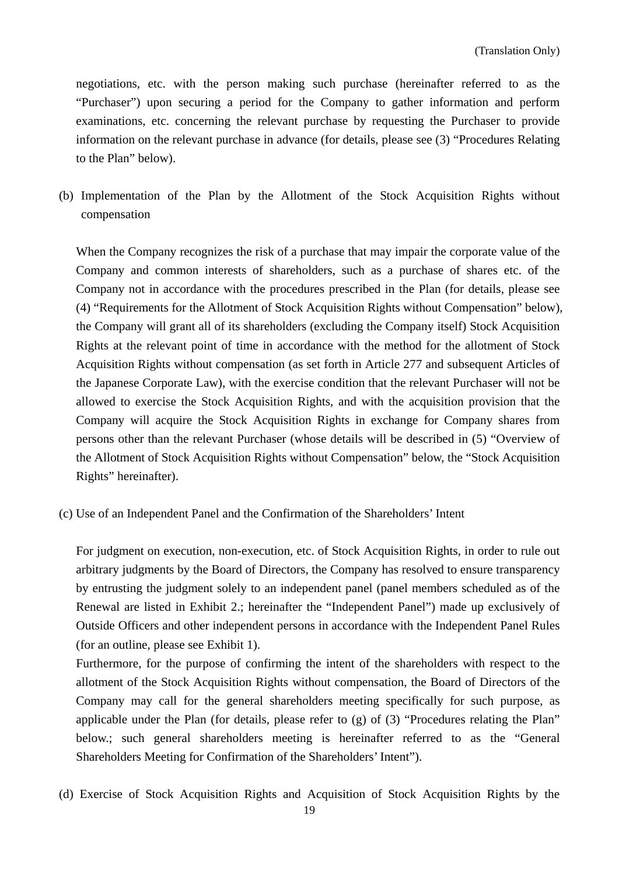negotiations, etc. with the person making such purchase (hereinafter referred to as the "Purchaser") upon securing a period for the Company to gather information and perform examinations, etc. concerning the relevant purchase by requesting the Purchaser to provide information on the relevant purchase in advance (for details, please see (3) "Procedures Relating to the Plan" below).

(b) Implementation of the Plan by the Allotment of the Stock Acquisition Rights without compensation

When the Company recognizes the risk of a purchase that may impair the corporate value of the Company and common interests of shareholders, such as a purchase of shares etc. of the Company not in accordance with the procedures prescribed in the Plan (for details, please see (4) "Requirements for the Allotment of Stock Acquisition Rights without Compensation" below), the Company will grant all of its shareholders (excluding the Company itself) Stock Acquisition Rights at the relevant point of time in accordance with the method for the allotment of Stock Acquisition Rights without compensation (as set forth in Article 277 and subsequent Articles of the Japanese Corporate Law), with the exercise condition that the relevant Purchaser will not be allowed to exercise the Stock Acquisition Rights, and with the acquisition provision that the Company will acquire the Stock Acquisition Rights in exchange for Company shares from persons other than the relevant Purchaser (whose details will be described in (5) "Overview of the Allotment of Stock Acquisition Rights without Compensation" below, the "Stock Acquisition Rights" hereinafter).

(c) Use of an Independent Panel and the Confirmation of the Shareholders' Intent

For judgment on execution, non-execution, etc. of Stock Acquisition Rights, in order to rule out arbitrary judgments by the Board of Directors, the Company has resolved to ensure transparency by entrusting the judgment solely to an independent panel (panel members scheduled as of the Renewal are listed in Exhibit 2.; hereinafter the "Independent Panel") made up exclusively of Outside Officers and other independent persons in accordance with the Independent Panel Rules (for an outline, please see Exhibit 1).

Furthermore, for the purpose of confirming the intent of the shareholders with respect to the allotment of the Stock Acquisition Rights without compensation, the Board of Directors of the Company may call for the general shareholders meeting specifically for such purpose, as applicable under the Plan (for details, please refer to (g) of (3) "Procedures relating the Plan" below.; such general shareholders meeting is hereinafter referred to as the "General Shareholders Meeting for Confirmation of the Shareholders' Intent").

(d) Exercise of Stock Acquisition Rights and Acquisition of Stock Acquisition Rights by the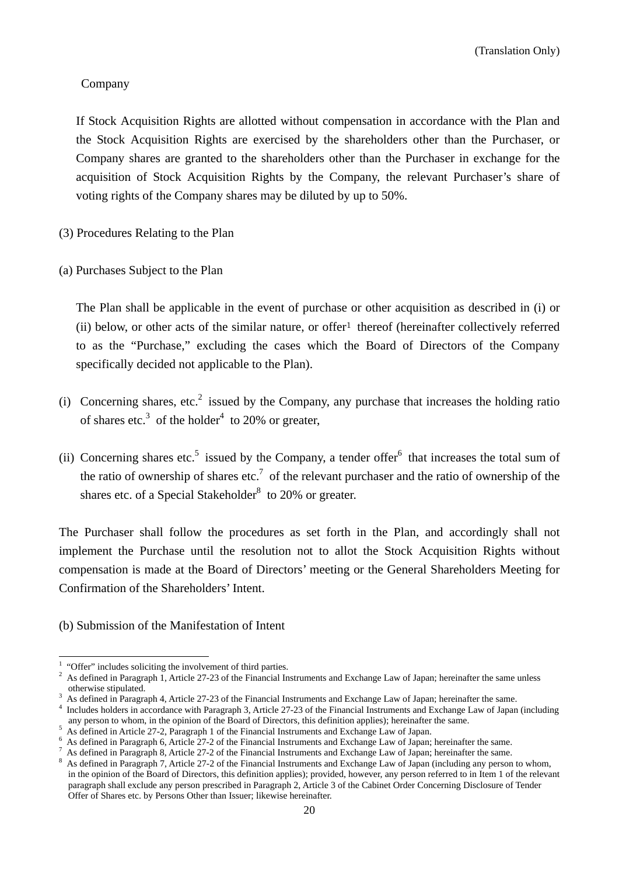### Company

If Stock Acquisition Rights are allotted without compensation in accordance with the Plan and the Stock Acquisition Rights are exercised by the shareholders other than the Purchaser, or Company shares are granted to the shareholders other than the Purchaser in exchange for the acquisition of Stock Acquisition Rights by the Company, the relevant Purchaser's share of voting rights of the Company shares may be diluted by up to 50%.

- (3) Procedures Relating to the Plan
- (a) Purchases Subject to the Plan

The Plan shall be applicable in the event of purchase or other acquisition as described in (i) or (ii) below, or other acts of the similar nature, or offer<sup>1</sup> thereof (hereinafter collectively referred to as the "Purchase," excluding the cases which the Board of Directors of the Company specifically decided not applicable to the Plan).

- (i) Concerning shares, etc.<sup>2</sup> issued by the Company, any purchase that increases the holding ratio of shares etc.<sup>3</sup> of the holder<sup>4</sup> to 20% or greater,
- (ii) Concerning shares etc.<sup>5</sup> issued by the Company, a tender offer<sup>6</sup> that increases the total sum of the ratio of ownership of shares etc.<sup>7</sup> of the relevant purchaser and the ratio of ownership of the shares etc. of a Special Stakeholder $8$  to 20% or greater.

The Purchaser shall follow the procedures as set forth in the Plan, and accordingly shall not implement the Purchase until the resolution not to allot the Stock Acquisition Rights without compensation is made at the Board of Directors' meeting or the General Shareholders Meeting for Confirmation of the Shareholders' Intent.

(b) Submission of the Manifestation of Intent

<sup>&</sup>lt;sup>1</sup> "Offer" includes soliciting the involvement of third parties.<br> $\frac{2}{5}$  As defined in Personand 1, Article 27, 23 of the Einengiel In

<sup>&</sup>lt;sup>2</sup> As defined in Paragraph 1, Article 27-23 of the Financial Instruments and Exchange Law of Japan; hereinafter the same unless otherwise stipulated. otherwise stipulated.<br> $3 \text{ A} \cdot \text{defined in } \text{Bergens}$ 

<sup>&</sup>lt;sup>3</sup> As defined in Paragraph 4, Article 27-23 of the Financial Instruments and Exchange Law of Japan; hereinafter the same.  $\frac{4}{3}$  Includes holders in accordance with Personal 3, Article 27.23 of the Einensial Instrumen

<sup>&</sup>lt;sup>4</sup> Includes holders in accordance with Paragraph 3, Article 27-23 of the Financial Instruments and Exchange Law of Japan (including any person to whom, in the opinion of the Board of Directors, this definition applies); hereinafter the same.

As defined in Article 27-2, Paragraph 1 of the Financial Instruments and Exchange Law of Japan. 6

As defined in Paragraph 6, Article 27-2 of the Financial Instruments and Exchange Law of Japan; hereinafter the same. 7

As defined in Paragraph 8, Article 27-2 of the Financial Instruments and Exchange Law of Japan; hereinafter the same. 8

As defined in Paragraph 7, Article 27-2 of the Financial Instruments and Exchange Law of Japan (including any person to whom, in the opinion of the Board of Directors, this definition applies); provided, however, any person referred to in Item 1 of the relevant paragraph shall exclude any person prescribed in Paragraph 2, Article 3 of the Cabinet Order Concerning Disclosure of Tender Offer of Shares etc. by Persons Other than Issuer; likewise hereinafter.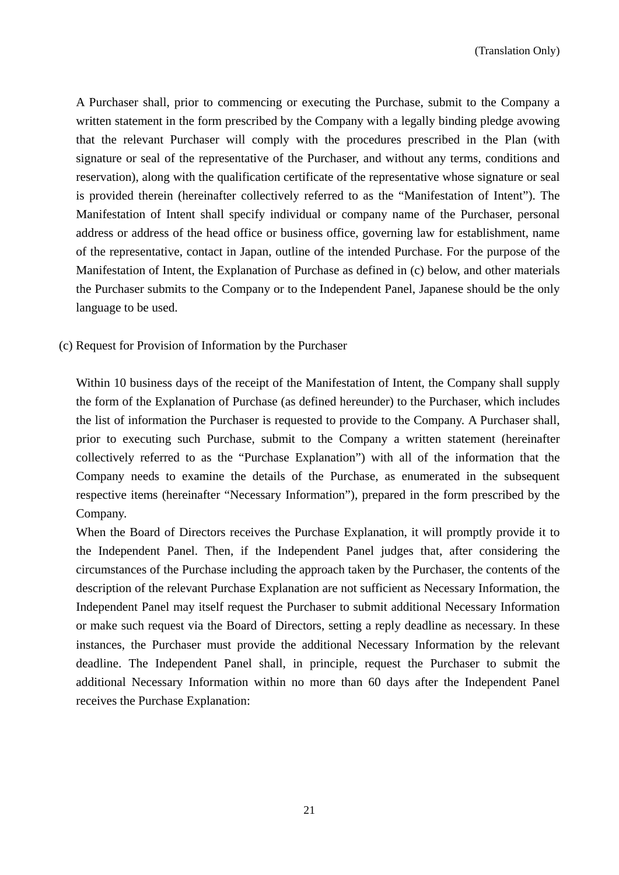A Purchaser shall, prior to commencing or executing the Purchase, submit to the Company a written statement in the form prescribed by the Company with a legally binding pledge avowing that the relevant Purchaser will comply with the procedures prescribed in the Plan (with signature or seal of the representative of the Purchaser, and without any terms, conditions and reservation), along with the qualification certificate of the representative whose signature or seal is provided therein (hereinafter collectively referred to as the "Manifestation of Intent"). The Manifestation of Intent shall specify individual or company name of the Purchaser, personal address or address of the head office or business office, governing law for establishment, name of the representative, contact in Japan, outline of the intended Purchase. For the purpose of the Manifestation of Intent, the Explanation of Purchase as defined in (c) below, and other materials the Purchaser submits to the Company or to the Independent Panel, Japanese should be the only language to be used.

(c) Request for Provision of Information by the Purchaser

Within 10 business days of the receipt of the Manifestation of Intent, the Company shall supply the form of the Explanation of Purchase (as defined hereunder) to the Purchaser, which includes the list of information the Purchaser is requested to provide to the Company. A Purchaser shall, prior to executing such Purchase, submit to the Company a written statement (hereinafter collectively referred to as the "Purchase Explanation") with all of the information that the Company needs to examine the details of the Purchase, as enumerated in the subsequent respective items (hereinafter "Necessary Information"), prepared in the form prescribed by the Company.

When the Board of Directors receives the Purchase Explanation, it will promptly provide it to the Independent Panel. Then, if the Independent Panel judges that, after considering the circumstances of the Purchase including the approach taken by the Purchaser, the contents of the description of the relevant Purchase Explanation are not sufficient as Necessary Information, the Independent Panel may itself request the Purchaser to submit additional Necessary Information or make such request via the Board of Directors, setting a reply deadline as necessary. In these instances, the Purchaser must provide the additional Necessary Information by the relevant deadline. The Independent Panel shall, in principle, request the Purchaser to submit the additional Necessary Information within no more than 60 days after the Independent Panel receives the Purchase Explanation: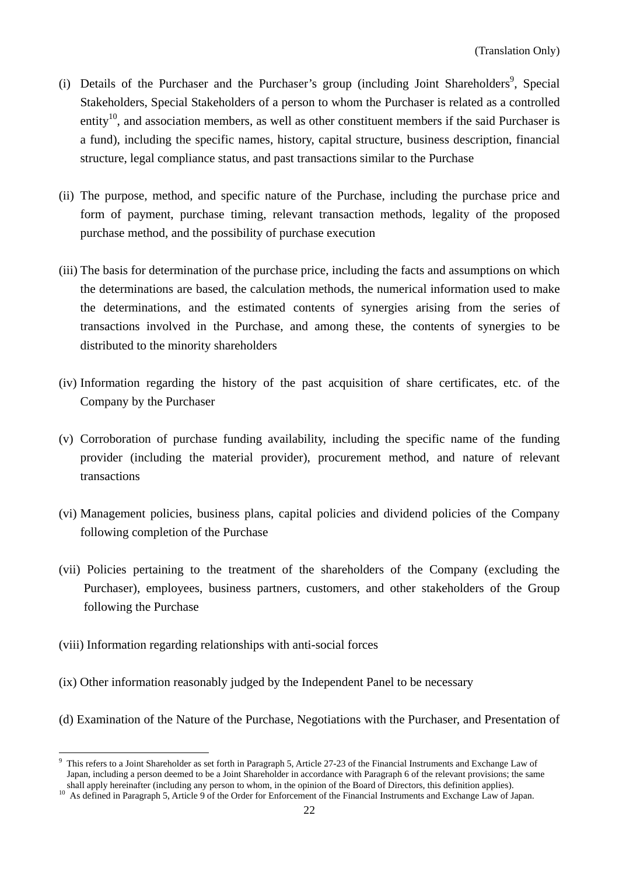- (i) Details of the Purchaser and the Purchaser's group (including Joint Shareholders<sup>9</sup>, Special Stakeholders, Special Stakeholders of a person to whom the Purchaser is related as a controlled entity<sup>10</sup>, and association members, as well as other constituent members if the said Purchaser is a fund), including the specific names, history, capital structure, business description, financial structure, legal compliance status, and past transactions similar to the Purchase
- (ii) The purpose, method, and specific nature of the Purchase, including the purchase price and form of payment, purchase timing, relevant transaction methods, legality of the proposed purchase method, and the possibility of purchase execution
- (iii) The basis for determination of the purchase price, including the facts and assumptions on which the determinations are based, the calculation methods, the numerical information used to make the determinations, and the estimated contents of synergies arising from the series of transactions involved in the Purchase, and among these, the contents of synergies to be distributed to the minority shareholders
- (iv) Information regarding the history of the past acquisition of share certificates, etc. of the Company by the Purchaser
- (v) Corroboration of purchase funding availability, including the specific name of the funding provider (including the material provider), procurement method, and nature of relevant transactions
- (vi) Management policies, business plans, capital policies and dividend policies of the Company following completion of the Purchase
- (vii) Policies pertaining to the treatment of the shareholders of the Company (excluding the Purchaser), employees, business partners, customers, and other stakeholders of the Group following the Purchase
- (viii) Information regarding relationships with anti-social forces
- (ix) Other information reasonably judged by the Independent Panel to be necessary
- (d) Examination of the Nature of the Purchase, Negotiations with the Purchaser, and Presentation of

<sup>&</sup>lt;sup>9</sup> This refers to a Joint Shareholder as set forth in Paragraph 5, Article 27-23 of the Financial Instruments and Exchange Law of Japan, including a person deemed to be a Joint Shareholder in accordance with Paragraph 6 of the relevant provisions; the same shall apply hereinafter (including any person to whom, in the opinion of the Board of Directors, this definition applies).<br><sup>10</sup> As defined in Paragraph 5, Article 9 of the Order for Enforcement of the Financial Instruments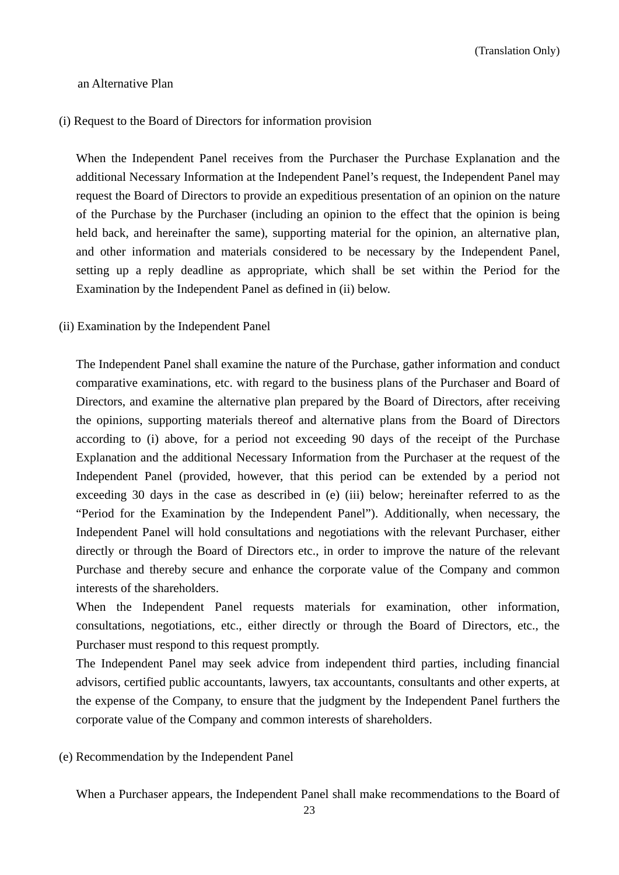### an Alternative Plan

### (i) Request to the Board of Directors for information provision

When the Independent Panel receives from the Purchaser the Purchase Explanation and the additional Necessary Information at the Independent Panel's request, the Independent Panel may request the Board of Directors to provide an expeditious presentation of an opinion on the nature of the Purchase by the Purchaser (including an opinion to the effect that the opinion is being held back, and hereinafter the same), supporting material for the opinion, an alternative plan, and other information and materials considered to be necessary by the Independent Panel, setting up a reply deadline as appropriate, which shall be set within the Period for the Examination by the Independent Panel as defined in (ii) below.

(ii) Examination by the Independent Panel

The Independent Panel shall examine the nature of the Purchase, gather information and conduct comparative examinations, etc. with regard to the business plans of the Purchaser and Board of Directors, and examine the alternative plan prepared by the Board of Directors, after receiving the opinions, supporting materials thereof and alternative plans from the Board of Directors according to (i) above, for a period not exceeding 90 days of the receipt of the Purchase Explanation and the additional Necessary Information from the Purchaser at the request of the Independent Panel (provided, however, that this period can be extended by a period not exceeding 30 days in the case as described in (e) (iii) below; hereinafter referred to as the "Period for the Examination by the Independent Panel"). Additionally, when necessary, the Independent Panel will hold consultations and negotiations with the relevant Purchaser, either directly or through the Board of Directors etc., in order to improve the nature of the relevant Purchase and thereby secure and enhance the corporate value of the Company and common interests of the shareholders.

When the Independent Panel requests materials for examination, other information, consultations, negotiations, etc., either directly or through the Board of Directors, etc., the Purchaser must respond to this request promptly.

The Independent Panel may seek advice from independent third parties, including financial advisors, certified public accountants, lawyers, tax accountants, consultants and other experts, at the expense of the Company, to ensure that the judgment by the Independent Panel furthers the corporate value of the Company and common interests of shareholders.

### (e) Recommendation by the Independent Panel

When a Purchaser appears, the Independent Panel shall make recommendations to the Board of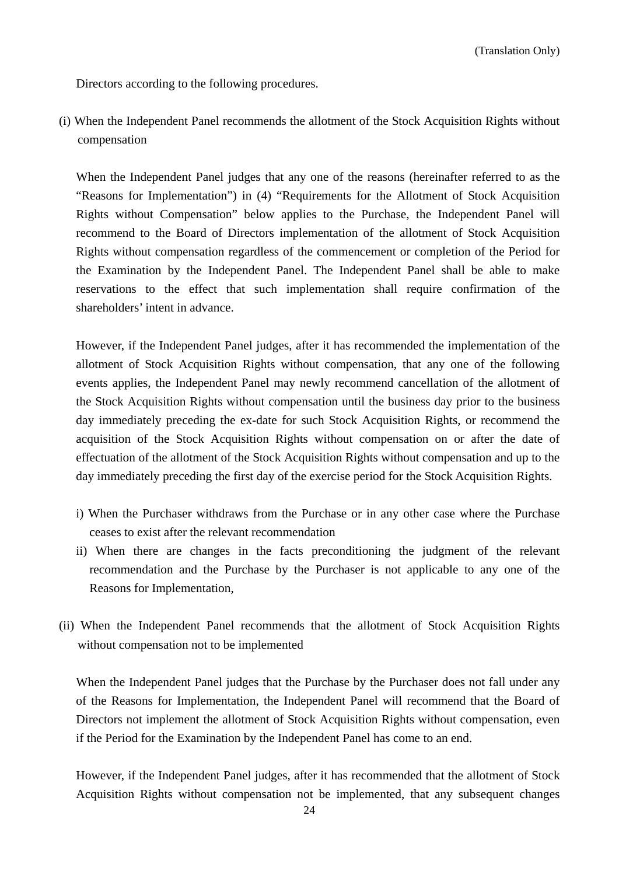Directors according to the following procedures.

(i) When the Independent Panel recommends the allotment of the Stock Acquisition Rights without compensation

When the Independent Panel judges that any one of the reasons (hereinafter referred to as the "Reasons for Implementation") in (4) "Requirements for the Allotment of Stock Acquisition Rights without Compensation" below applies to the Purchase, the Independent Panel will recommend to the Board of Directors implementation of the allotment of Stock Acquisition Rights without compensation regardless of the commencement or completion of the Period for the Examination by the Independent Panel. The Independent Panel shall be able to make reservations to the effect that such implementation shall require confirmation of the shareholders' intent in advance.

However, if the Independent Panel judges, after it has recommended the implementation of the allotment of Stock Acquisition Rights without compensation, that any one of the following events applies, the Independent Panel may newly recommend cancellation of the allotment of the Stock Acquisition Rights without compensation until the business day prior to the business day immediately preceding the ex-date for such Stock Acquisition Rights, or recommend the acquisition of the Stock Acquisition Rights without compensation on or after the date of effectuation of the allotment of the Stock Acquisition Rights without compensation and up to the day immediately preceding the first day of the exercise period for the Stock Acquisition Rights.

- i) When the Purchaser withdraws from the Purchase or in any other case where the Purchase ceases to exist after the relevant recommendation
- ii) When there are changes in the facts preconditioning the judgment of the relevant recommendation and the Purchase by the Purchaser is not applicable to any one of the Reasons for Implementation,
- (ii) When the Independent Panel recommends that the allotment of Stock Acquisition Rights without compensation not to be implemented

When the Independent Panel judges that the Purchase by the Purchaser does not fall under any of the Reasons for Implementation, the Independent Panel will recommend that the Board of Directors not implement the allotment of Stock Acquisition Rights without compensation, even if the Period for the Examination by the Independent Panel has come to an end.

However, if the Independent Panel judges, after it has recommended that the allotment of Stock Acquisition Rights without compensation not be implemented, that any subsequent changes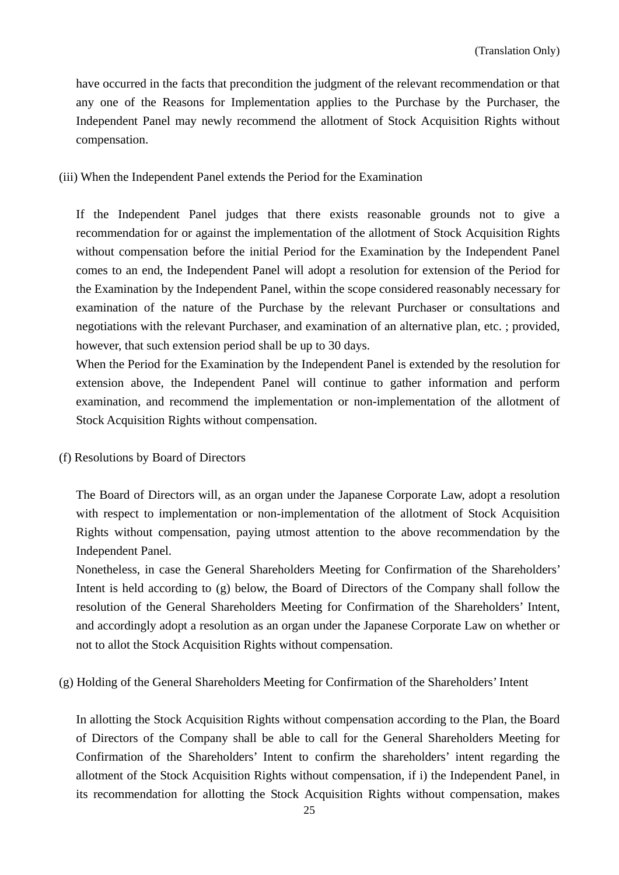have occurred in the facts that precondition the judgment of the relevant recommendation or that any one of the Reasons for Implementation applies to the Purchase by the Purchaser, the Independent Panel may newly recommend the allotment of Stock Acquisition Rights without compensation.

### (iii) When the Independent Panel extends the Period for the Examination

If the Independent Panel judges that there exists reasonable grounds not to give a recommendation for or against the implementation of the allotment of Stock Acquisition Rights without compensation before the initial Period for the Examination by the Independent Panel comes to an end, the Independent Panel will adopt a resolution for extension of the Period for the Examination by the Independent Panel, within the scope considered reasonably necessary for examination of the nature of the Purchase by the relevant Purchaser or consultations and negotiations with the relevant Purchaser, and examination of an alternative plan, etc. ; provided, however, that such extension period shall be up to 30 days.

When the Period for the Examination by the Independent Panel is extended by the resolution for extension above, the Independent Panel will continue to gather information and perform examination, and recommend the implementation or non-implementation of the allotment of Stock Acquisition Rights without compensation.

(f) Resolutions by Board of Directors

The Board of Directors will, as an organ under the Japanese Corporate Law, adopt a resolution with respect to implementation or non-implementation of the allotment of Stock Acquisition Rights without compensation, paying utmost attention to the above recommendation by the Independent Panel.

Nonetheless, in case the General Shareholders Meeting for Confirmation of the Shareholders' Intent is held according to (g) below, the Board of Directors of the Company shall follow the resolution of the General Shareholders Meeting for Confirmation of the Shareholders' Intent, and accordingly adopt a resolution as an organ under the Japanese Corporate Law on whether or not to allot the Stock Acquisition Rights without compensation.

(g) Holding of the General Shareholders Meeting for Confirmation of the Shareholders' Intent

In allotting the Stock Acquisition Rights without compensation according to the Plan, the Board of Directors of the Company shall be able to call for the General Shareholders Meeting for Confirmation of the Shareholders' Intent to confirm the shareholders' intent regarding the allotment of the Stock Acquisition Rights without compensation, if i) the Independent Panel, in its recommendation for allotting the Stock Acquisition Rights without compensation, makes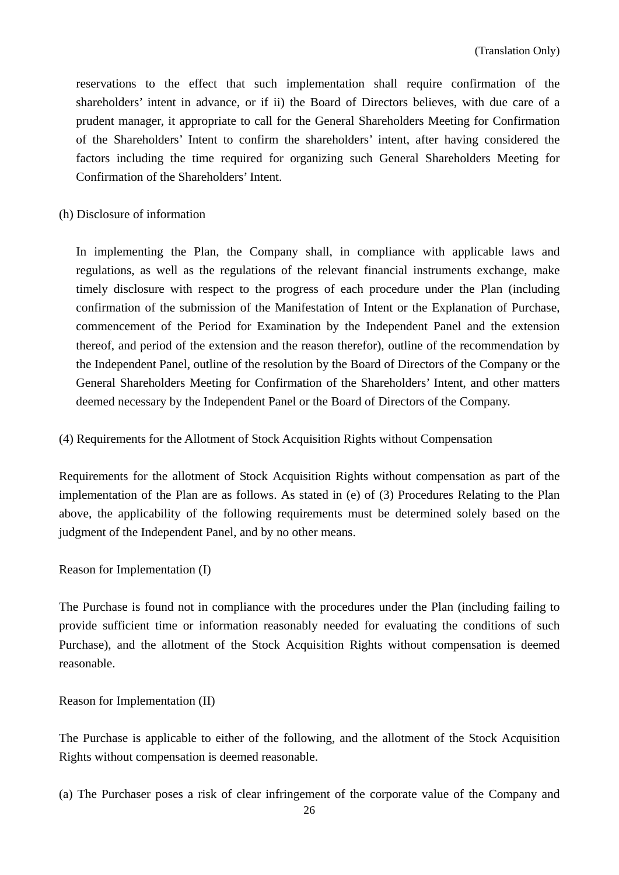reservations to the effect that such implementation shall require confirmation of the shareholders' intent in advance, or if ii) the Board of Directors believes, with due care of a prudent manager, it appropriate to call for the General Shareholders Meeting for Confirmation of the Shareholders' Intent to confirm the shareholders' intent, after having considered the factors including the time required for organizing such General Shareholders Meeting for Confirmation of the Shareholders' Intent.

(h) Disclosure of information

In implementing the Plan, the Company shall, in compliance with applicable laws and regulations, as well as the regulations of the relevant financial instruments exchange, make timely disclosure with respect to the progress of each procedure under the Plan (including confirmation of the submission of the Manifestation of Intent or the Explanation of Purchase, commencement of the Period for Examination by the Independent Panel and the extension thereof, and period of the extension and the reason therefor), outline of the recommendation by the Independent Panel, outline of the resolution by the Board of Directors of the Company or the General Shareholders Meeting for Confirmation of the Shareholders' Intent, and other matters deemed necessary by the Independent Panel or the Board of Directors of the Company.

(4) Requirements for the Allotment of Stock Acquisition Rights without Compensation

Requirements for the allotment of Stock Acquisition Rights without compensation as part of the implementation of the Plan are as follows. As stated in (e) of (3) Procedures Relating to the Plan above, the applicability of the following requirements must be determined solely based on the judgment of the Independent Panel, and by no other means.

Reason for Implementation (I)

The Purchase is found not in compliance with the procedures under the Plan (including failing to provide sufficient time or information reasonably needed for evaluating the conditions of such Purchase), and the allotment of the Stock Acquisition Rights without compensation is deemed reasonable.

Reason for Implementation (II)

The Purchase is applicable to either of the following, and the allotment of the Stock Acquisition Rights without compensation is deemed reasonable.

(a) The Purchaser poses a risk of clear infringement of the corporate value of the Company and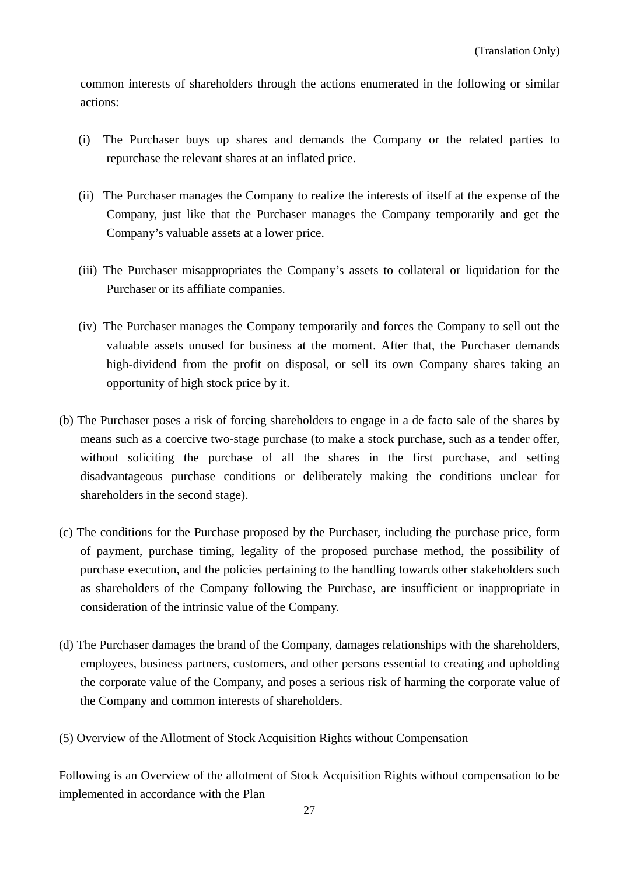common interests of shareholders through the actions enumerated in the following or similar actions:

- (i) The Purchaser buys up shares and demands the Company or the related parties to repurchase the relevant shares at an inflated price.
- (ii) The Purchaser manages the Company to realize the interests of itself at the expense of the Company, just like that the Purchaser manages the Company temporarily and get the Company's valuable assets at a lower price.
- (iii) The Purchaser misappropriates the Company's assets to collateral or liquidation for the Purchaser or its affiliate companies.
- (iv) The Purchaser manages the Company temporarily and forces the Company to sell out the valuable assets unused for business at the moment. After that, the Purchaser demands high-dividend from the profit on disposal, or sell its own Company shares taking an opportunity of high stock price by it.
- (b) The Purchaser poses a risk of forcing shareholders to engage in a de facto sale of the shares by means such as a coercive two-stage purchase (to make a stock purchase, such as a tender offer, without soliciting the purchase of all the shares in the first purchase, and setting disadvantageous purchase conditions or deliberately making the conditions unclear for shareholders in the second stage).
- (c) The conditions for the Purchase proposed by the Purchaser, including the purchase price, form of payment, purchase timing, legality of the proposed purchase method, the possibility of purchase execution, and the policies pertaining to the handling towards other stakeholders such as shareholders of the Company following the Purchase, are insufficient or inappropriate in consideration of the intrinsic value of the Company.
- (d) The Purchaser damages the brand of the Company, damages relationships with the shareholders, employees, business partners, customers, and other persons essential to creating and upholding the corporate value of the Company, and poses a serious risk of harming the corporate value of the Company and common interests of shareholders.
- (5) Overview of the Allotment of Stock Acquisition Rights without Compensation

Following is an Overview of the allotment of Stock Acquisition Rights without compensation to be implemented in accordance with the Plan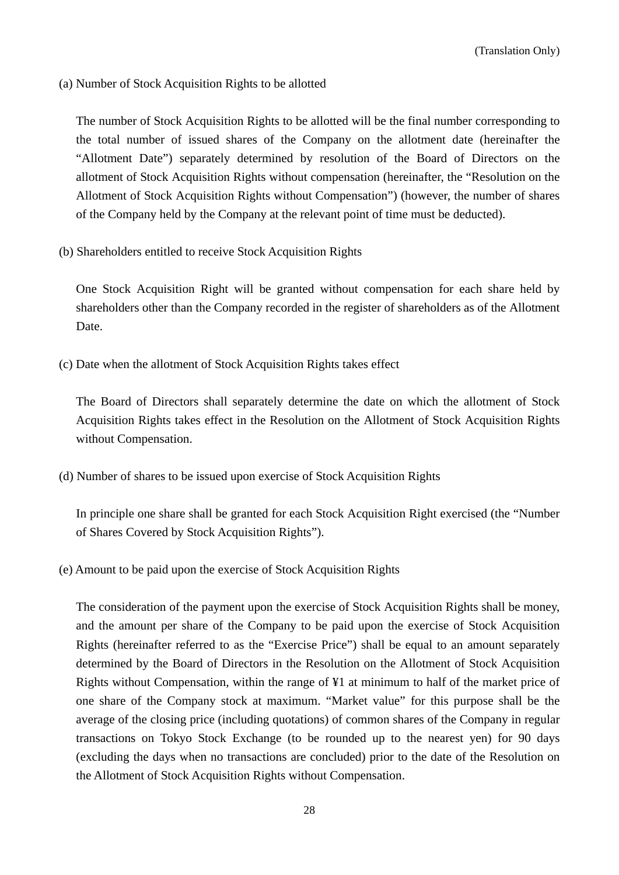(a) Number of Stock Acquisition Rights to be allotted

The number of Stock Acquisition Rights to be allotted will be the final number corresponding to the total number of issued shares of the Company on the allotment date (hereinafter the "Allotment Date") separately determined by resolution of the Board of Directors on the allotment of Stock Acquisition Rights without compensation (hereinafter, the "Resolution on the Allotment of Stock Acquisition Rights without Compensation") (however, the number of shares of the Company held by the Company at the relevant point of time must be deducted).

(b) Shareholders entitled to receive Stock Acquisition Rights

One Stock Acquisition Right will be granted without compensation for each share held by shareholders other than the Company recorded in the register of shareholders as of the Allotment Date.

(c) Date when the allotment of Stock Acquisition Rights takes effect

The Board of Directors shall separately determine the date on which the allotment of Stock Acquisition Rights takes effect in the Resolution on the Allotment of Stock Acquisition Rights without Compensation.

(d) Number of shares to be issued upon exercise of Stock Acquisition Rights

In principle one share shall be granted for each Stock Acquisition Right exercised (the "Number of Shares Covered by Stock Acquisition Rights").

(e) Amount to be paid upon the exercise of Stock Acquisition Rights

The consideration of the payment upon the exercise of Stock Acquisition Rights shall be money, and the amount per share of the Company to be paid upon the exercise of Stock Acquisition Rights (hereinafter referred to as the "Exercise Price") shall be equal to an amount separately determined by the Board of Directors in the Resolution on the Allotment of Stock Acquisition Rights without Compensation, within the range of ¥1 at minimum to half of the market price of one share of the Company stock at maximum. "Market value" for this purpose shall be the average of the closing price (including quotations) of common shares of the Company in regular transactions on Tokyo Stock Exchange (to be rounded up to the nearest yen) for 90 days (excluding the days when no transactions are concluded) prior to the date of the Resolution on the Allotment of Stock Acquisition Rights without Compensation.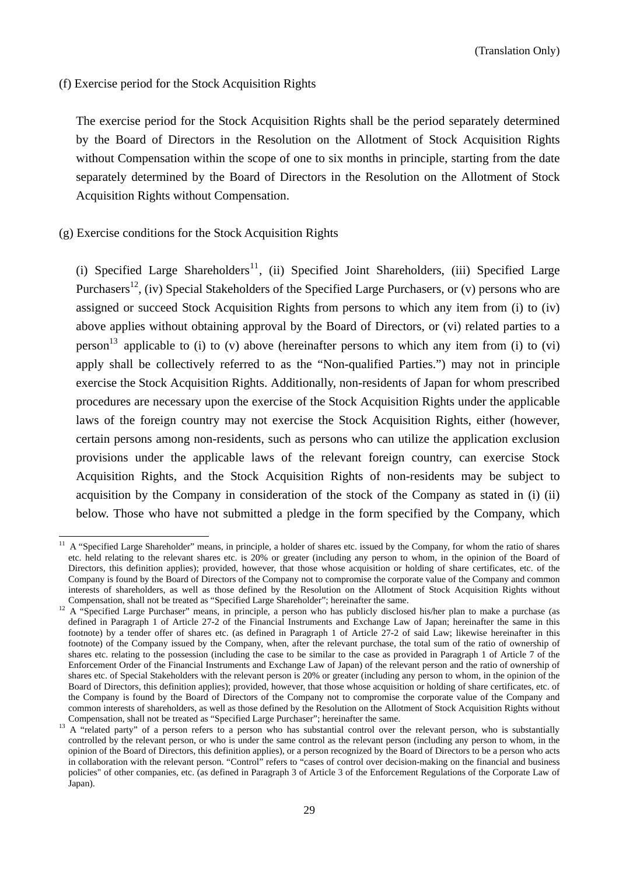(f) Exercise period for the Stock Acquisition Rights

The exercise period for the Stock Acquisition Rights shall be the period separately determined by the Board of Directors in the Resolution on the Allotment of Stock Acquisition Rights without Compensation within the scope of one to six months in principle, starting from the date separately determined by the Board of Directors in the Resolution on the Allotment of Stock Acquisition Rights without Compensation.

#### (g) Exercise conditions for the Stock Acquisition Rights

(i) Specified Large Shareholders<sup>11</sup>, (ii) Specified Joint Shareholders, (iii) Specified Large Purchasers<sup>12</sup>, (iv) Special Stakeholders of the Specified Large Purchasers, or (v) persons who are assigned or succeed Stock Acquisition Rights from persons to which any item from (i) to (iv) above applies without obtaining approval by the Board of Directors, or (vi) related parties to a person<sup>13</sup> applicable to (i) to (v) above (hereinafter persons to which any item from (i) to (vi) apply shall be collectively referred to as the "Non-qualified Parties.") may not in principle exercise the Stock Acquisition Rights. Additionally, non-residents of Japan for whom prescribed procedures are necessary upon the exercise of the Stock Acquisition Rights under the applicable laws of the foreign country may not exercise the Stock Acquisition Rights, either (however, certain persons among non-residents, such as persons who can utilize the application exclusion provisions under the applicable laws of the relevant foreign country, can exercise Stock Acquisition Rights, and the Stock Acquisition Rights of non-residents may be subject to acquisition by the Company in consideration of the stock of the Company as stated in (i) (ii) below. Those who have not submitted a pledge in the form specified by the Company, which

<sup>11</sup> A "Specified Large Shareholder" means, in principle, a holder of shares etc. issued by the Company, for whom the ratio of shares etc. held relating to the relevant shares etc. is 20% or greater (including any person to whom, in the opinion of the Board of Directors, this definition applies); provided, however, that those whose acquisition or holding of share certificates, etc. of the Company is found by the Board of Directors of the Company not to compromise the corporate value of the Company and common interests of shareholders, as well as those defined by the Resolution on the Allotment of Stock Acquisition Rights without Compensation, shall not be treated as "Specified Large Shareholder"; hereinafter the same.<br><sup>12</sup> A "Specified Large Purchaser" means, in principle, a person who has publicly disclosed his/her plan to make a purchase (as

defined in Paragraph 1 of Article 27-2 of the Financial Instruments and Exchange Law of Japan; hereinafter the same in this footnote) by a tender offer of shares etc. (as defined in Paragraph 1 of Article 27-2 of said Law; likewise hereinafter in this footnote) of the Company issued by the Company, when, after the relevant purchase, the total sum of the ratio of ownership of shares etc. relating to the possession (including the case to be similar to the case as provided in Paragraph 1 of Article 7 of the Enforcement Order of the Financial Instruments and Exchange Law of Japan) of the relevant person and the ratio of ownership of shares etc. of Special Stakeholders with the relevant person is 20% or greater (including any person to whom, in the opinion of the Board of Directors, this definition applies); provided, however, that those whose acquisition or holding of share certificates, etc. of the Company is found by the Board of Directors of the Company not to compromise the corporate value of the Company and common interests of shareholders, as well as those defined by the Resolution on the Allotment of Stock Acquisition Rights without

Compensation, shall not be treated as "Specified Large Purchaser"; hereinafter the same.<br><sup>13</sup> A "related party" of a person refers to a person who has substantial control over the relevant person, who is substantially controlled by the relevant person, or who is under the same control as the relevant person (including any person to whom, in the opinion of the Board of Directors, this definition applies), or a person recognized by the Board of Directors to be a person who acts in collaboration with the relevant person. "Control" refers to "cases of control over decision-making on the financial and business policies" of other companies, etc. (as defined in Paragraph 3 of Article 3 of the Enforcement Regulations of the Corporate Law of Japan).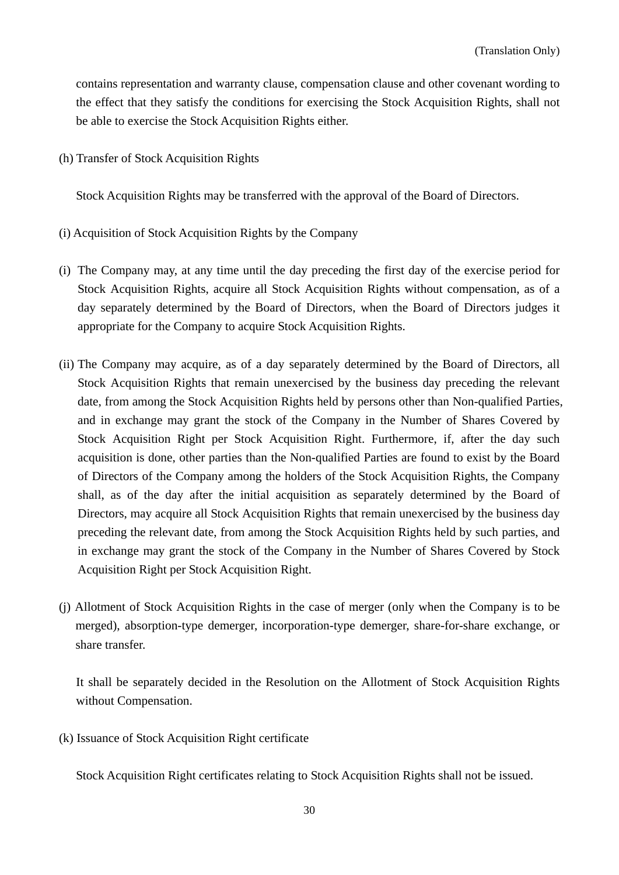contains representation and warranty clause, compensation clause and other covenant wording to the effect that they satisfy the conditions for exercising the Stock Acquisition Rights, shall not be able to exercise the Stock Acquisition Rights either.

(h) Transfer of Stock Acquisition Rights

Stock Acquisition Rights may be transferred with the approval of the Board of Directors.

- (i) Acquisition of Stock Acquisition Rights by the Company
- (i) The Company may, at any time until the day preceding the first day of the exercise period for Stock Acquisition Rights, acquire all Stock Acquisition Rights without compensation, as of a day separately determined by the Board of Directors, when the Board of Directors judges it appropriate for the Company to acquire Stock Acquisition Rights.
- (ii) The Company may acquire, as of a day separately determined by the Board of Directors, all Stock Acquisition Rights that remain unexercised by the business day preceding the relevant date, from among the Stock Acquisition Rights held by persons other than Non-qualified Parties, and in exchange may grant the stock of the Company in the Number of Shares Covered by Stock Acquisition Right per Stock Acquisition Right. Furthermore, if, after the day such acquisition is done, other parties than the Non-qualified Parties are found to exist by the Board of Directors of the Company among the holders of the Stock Acquisition Rights, the Company shall, as of the day after the initial acquisition as separately determined by the Board of Directors, may acquire all Stock Acquisition Rights that remain unexercised by the business day preceding the relevant date, from among the Stock Acquisition Rights held by such parties, and in exchange may grant the stock of the Company in the Number of Shares Covered by Stock Acquisition Right per Stock Acquisition Right.
- (j) Allotment of Stock Acquisition Rights in the case of merger (only when the Company is to be merged), absorption-type demerger, incorporation-type demerger, share-for-share exchange, or share transfer.

It shall be separately decided in the Resolution on the Allotment of Stock Acquisition Rights without Compensation.

(k) Issuance of Stock Acquisition Right certificate

Stock Acquisition Right certificates relating to Stock Acquisition Rights shall not be issued.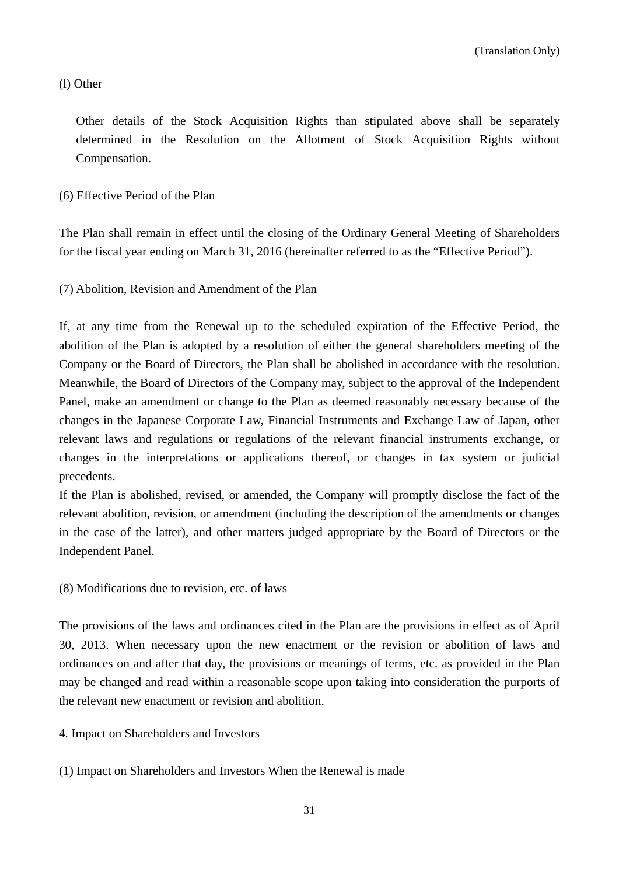(l) Other

Other details of the Stock Acquisition Rights than stipulated above shall be separately determined in the Resolution on the Allotment of Stock Acquisition Rights without Compensation.

### (6) Effective Period of the Plan

The Plan shall remain in effect until the closing of the Ordinary General Meeting of Shareholders for the fiscal year ending on March 31, 2016 (hereinafter referred to as the "Effective Period").

(7) Abolition, Revision and Amendment of the Plan

If, at any time from the Renewal up to the scheduled expiration of the Effective Period, the abolition of the Plan is adopted by a resolution of either the general shareholders meeting of the Company or the Board of Directors, the Plan shall be abolished in accordance with the resolution. Meanwhile, the Board of Directors of the Company may, subject to the approval of the Independent Panel, make an amendment or change to the Plan as deemed reasonably necessary because of the changes in the Japanese Corporate Law, Financial Instruments and Exchange Law of Japan, other relevant laws and regulations or regulations of the relevant financial instruments exchange, or changes in the interpretations or applications thereof, or changes in tax system or judicial precedents.

If the Plan is abolished, revised, or amended, the Company will promptly disclose the fact of the relevant abolition, revision, or amendment (including the description of the amendments or changes in the case of the latter), and other matters judged appropriate by the Board of Directors or the Independent Panel.

(8) Modifications due to revision, etc. of laws

The provisions of the laws and ordinances cited in the Plan are the provisions in effect as of April 30, 2013. When necessary upon the new enactment or the revision or abolition of laws and ordinances on and after that day, the provisions or meanings of terms, etc. as provided in the Plan may be changed and read within a reasonable scope upon taking into consideration the purports of the relevant new enactment or revision and abolition.

4. Impact on Shareholders and Investors

(1) Impact on Shareholders and Investors When the Renewal is made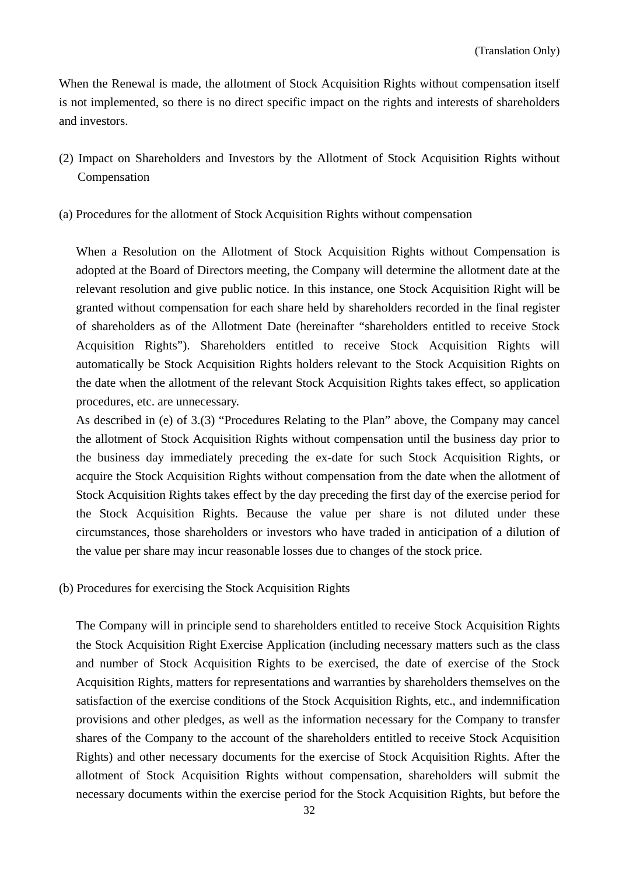When the Renewal is made, the allotment of Stock Acquisition Rights without compensation itself is not implemented, so there is no direct specific impact on the rights and interests of shareholders and investors.

- (2) Impact on Shareholders and Investors by the Allotment of Stock Acquisition Rights without Compensation
- (a) Procedures for the allotment of Stock Acquisition Rights without compensation

When a Resolution on the Allotment of Stock Acquisition Rights without Compensation is adopted at the Board of Directors meeting, the Company will determine the allotment date at the relevant resolution and give public notice. In this instance, one Stock Acquisition Right will be granted without compensation for each share held by shareholders recorded in the final register of shareholders as of the Allotment Date (hereinafter "shareholders entitled to receive Stock Acquisition Rights"). Shareholders entitled to receive Stock Acquisition Rights will automatically be Stock Acquisition Rights holders relevant to the Stock Acquisition Rights on the date when the allotment of the relevant Stock Acquisition Rights takes effect, so application procedures, etc. are unnecessary.

As described in (e) of 3.(3) "Procedures Relating to the Plan" above, the Company may cancel the allotment of Stock Acquisition Rights without compensation until the business day prior to the business day immediately preceding the ex-date for such Stock Acquisition Rights, or acquire the Stock Acquisition Rights without compensation from the date when the allotment of Stock Acquisition Rights takes effect by the day preceding the first day of the exercise period for the Stock Acquisition Rights. Because the value per share is not diluted under these circumstances, those shareholders or investors who have traded in anticipation of a dilution of the value per share may incur reasonable losses due to changes of the stock price.

(b) Procedures for exercising the Stock Acquisition Rights

The Company will in principle send to shareholders entitled to receive Stock Acquisition Rights the Stock Acquisition Right Exercise Application (including necessary matters such as the class and number of Stock Acquisition Rights to be exercised, the date of exercise of the Stock Acquisition Rights, matters for representations and warranties by shareholders themselves on the satisfaction of the exercise conditions of the Stock Acquisition Rights, etc., and indemnification provisions and other pledges, as well as the information necessary for the Company to transfer shares of the Company to the account of the shareholders entitled to receive Stock Acquisition Rights) and other necessary documents for the exercise of Stock Acquisition Rights. After the allotment of Stock Acquisition Rights without compensation, shareholders will submit the necessary documents within the exercise period for the Stock Acquisition Rights, but before the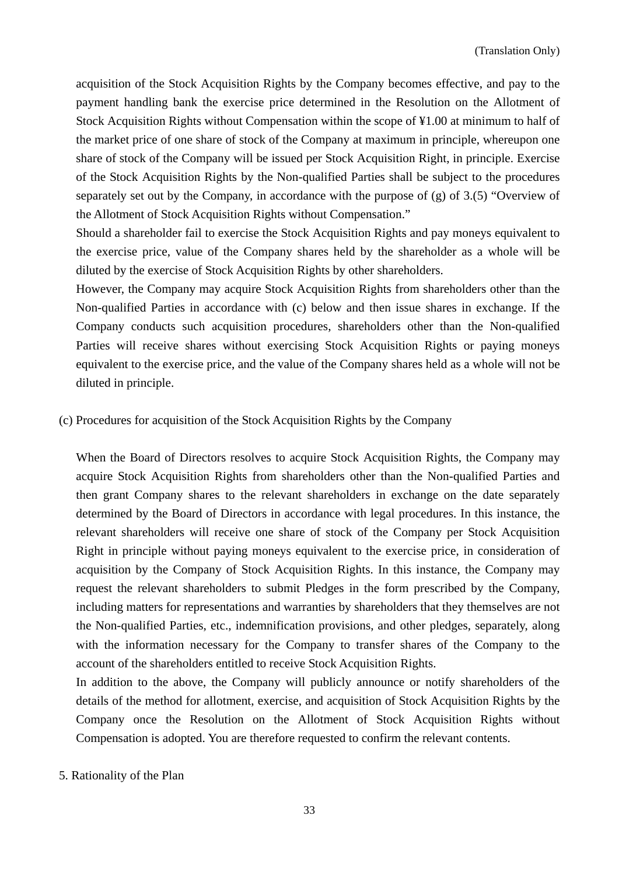acquisition of the Stock Acquisition Rights by the Company becomes effective, and pay to the payment handling bank the exercise price determined in the Resolution on the Allotment of Stock Acquisition Rights without Compensation within the scope of ¥1.00 at minimum to half of the market price of one share of stock of the Company at maximum in principle, whereupon one share of stock of the Company will be issued per Stock Acquisition Right, in principle. Exercise of the Stock Acquisition Rights by the Non-qualified Parties shall be subject to the procedures separately set out by the Company, in accordance with the purpose of (g) of 3.(5) "Overview of the Allotment of Stock Acquisition Rights without Compensation."

Should a shareholder fail to exercise the Stock Acquisition Rights and pay moneys equivalent to the exercise price, value of the Company shares held by the shareholder as a whole will be diluted by the exercise of Stock Acquisition Rights by other shareholders.

However, the Company may acquire Stock Acquisition Rights from shareholders other than the Non-qualified Parties in accordance with (c) below and then issue shares in exchange. If the Company conducts such acquisition procedures, shareholders other than the Non-qualified Parties will receive shares without exercising Stock Acquisition Rights or paying moneys equivalent to the exercise price, and the value of the Company shares held as a whole will not be diluted in principle.

(c) Procedures for acquisition of the Stock Acquisition Rights by the Company

When the Board of Directors resolves to acquire Stock Acquisition Rights, the Company may acquire Stock Acquisition Rights from shareholders other than the Non-qualified Parties and then grant Company shares to the relevant shareholders in exchange on the date separately determined by the Board of Directors in accordance with legal procedures. In this instance, the relevant shareholders will receive one share of stock of the Company per Stock Acquisition Right in principle without paying moneys equivalent to the exercise price, in consideration of acquisition by the Company of Stock Acquisition Rights. In this instance, the Company may request the relevant shareholders to submit Pledges in the form prescribed by the Company, including matters for representations and warranties by shareholders that they themselves are not the Non-qualified Parties, etc., indemnification provisions, and other pledges, separately, along with the information necessary for the Company to transfer shares of the Company to the account of the shareholders entitled to receive Stock Acquisition Rights.

In addition to the above, the Company will publicly announce or notify shareholders of the details of the method for allotment, exercise, and acquisition of Stock Acquisition Rights by the Company once the Resolution on the Allotment of Stock Acquisition Rights without Compensation is adopted. You are therefore requested to confirm the relevant contents.

5. Rationality of the Plan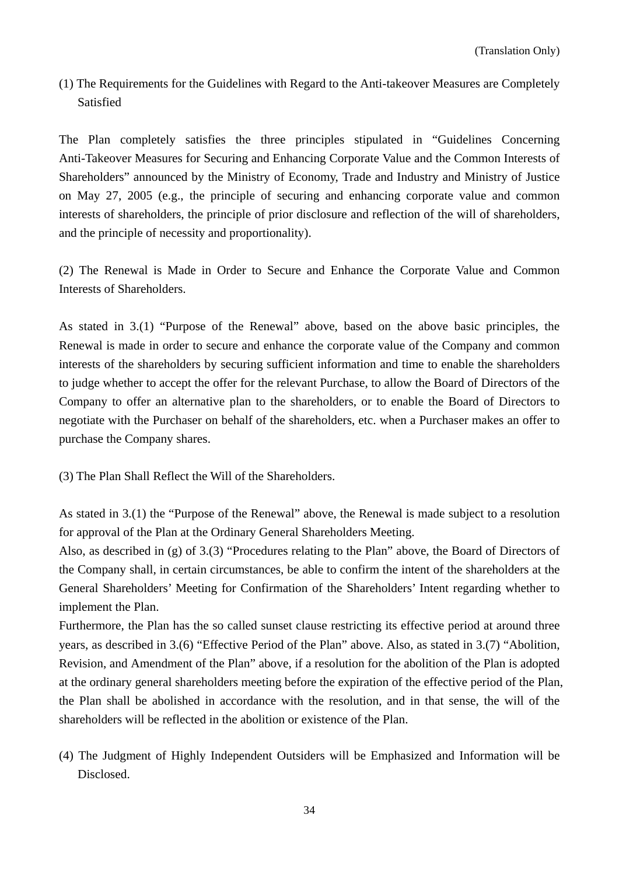(1) The Requirements for the Guidelines with Regard to the Anti-takeover Measures are Completely Satisfied

The Plan completely satisfies the three principles stipulated in "Guidelines Concerning Anti-Takeover Measures for Securing and Enhancing Corporate Value and the Common Interests of Shareholders" announced by the Ministry of Economy, Trade and Industry and Ministry of Justice on May 27, 2005 (e.g., the principle of securing and enhancing corporate value and common interests of shareholders, the principle of prior disclosure and reflection of the will of shareholders, and the principle of necessity and proportionality).

(2) The Renewal is Made in Order to Secure and Enhance the Corporate Value and Common Interests of Shareholders.

As stated in 3.(1) "Purpose of the Renewal" above, based on the above basic principles, the Renewal is made in order to secure and enhance the corporate value of the Company and common interests of the shareholders by securing sufficient information and time to enable the shareholders to judge whether to accept the offer for the relevant Purchase, to allow the Board of Directors of the Company to offer an alternative plan to the shareholders, or to enable the Board of Directors to negotiate with the Purchaser on behalf of the shareholders, etc. when a Purchaser makes an offer to purchase the Company shares.

(3) The Plan Shall Reflect the Will of the Shareholders.

As stated in 3.(1) the "Purpose of the Renewal" above, the Renewal is made subject to a resolution for approval of the Plan at the Ordinary General Shareholders Meeting.

Also, as described in (g) of 3.(3) "Procedures relating to the Plan" above, the Board of Directors of the Company shall, in certain circumstances, be able to confirm the intent of the shareholders at the General Shareholders' Meeting for Confirmation of the Shareholders' Intent regarding whether to implement the Plan.

Furthermore, the Plan has the so called sunset clause restricting its effective period at around three years, as described in 3.(6) "Effective Period of the Plan" above. Also, as stated in 3.(7) "Abolition, Revision, and Amendment of the Plan" above, if a resolution for the abolition of the Plan is adopted at the ordinary general shareholders meeting before the expiration of the effective period of the Plan, the Plan shall be abolished in accordance with the resolution, and in that sense, the will of the shareholders will be reflected in the abolition or existence of the Plan.

(4) The Judgment of Highly Independent Outsiders will be Emphasized and Information will be Disclosed.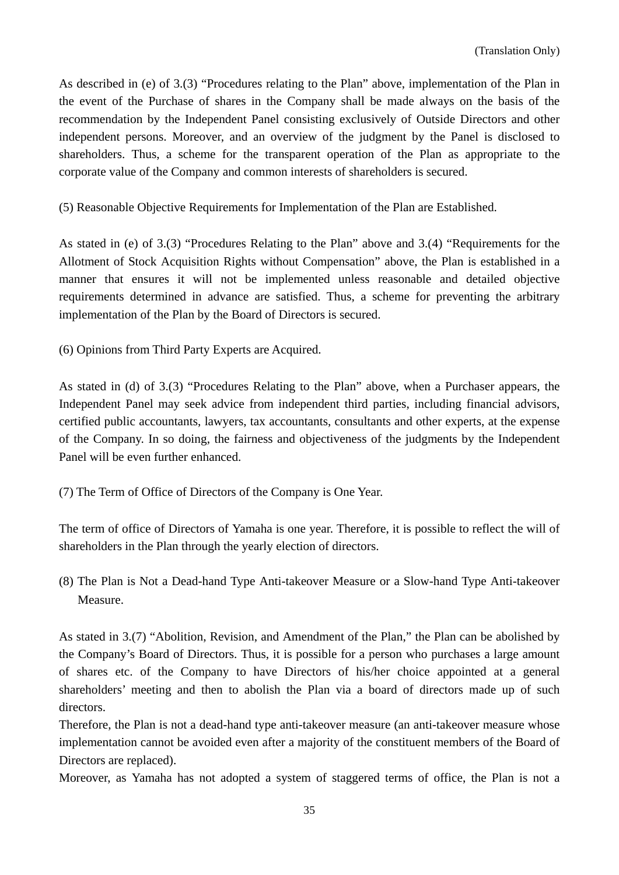As described in (e) of 3.(3) "Procedures relating to the Plan" above, implementation of the Plan in the event of the Purchase of shares in the Company shall be made always on the basis of the recommendation by the Independent Panel consisting exclusively of Outside Directors and other independent persons. Moreover, and an overview of the judgment by the Panel is disclosed to shareholders. Thus, a scheme for the transparent operation of the Plan as appropriate to the corporate value of the Company and common interests of shareholders is secured.

(5) Reasonable Objective Requirements for Implementation of the Plan are Established.

As stated in (e) of 3.(3) "Procedures Relating to the Plan" above and 3.(4) "Requirements for the Allotment of Stock Acquisition Rights without Compensation" above, the Plan is established in a manner that ensures it will not be implemented unless reasonable and detailed objective requirements determined in advance are satisfied. Thus, a scheme for preventing the arbitrary implementation of the Plan by the Board of Directors is secured.

(6) Opinions from Third Party Experts are Acquired.

As stated in (d) of 3.(3) "Procedures Relating to the Plan" above, when a Purchaser appears, the Independent Panel may seek advice from independent third parties, including financial advisors, certified public accountants, lawyers, tax accountants, consultants and other experts, at the expense of the Company. In so doing, the fairness and objectiveness of the judgments by the Independent Panel will be even further enhanced.

(7) The Term of Office of Directors of the Company is One Year.

The term of office of Directors of Yamaha is one year. Therefore, it is possible to reflect the will of shareholders in the Plan through the yearly election of directors.

(8) The Plan is Not a Dead-hand Type Anti-takeover Measure or a Slow-hand Type Anti-takeover Measure.

As stated in 3.(7) "Abolition, Revision, and Amendment of the Plan," the Plan can be abolished by the Company's Board of Directors. Thus, it is possible for a person who purchases a large amount of shares etc. of the Company to have Directors of his/her choice appointed at a general shareholders' meeting and then to abolish the Plan via a board of directors made up of such directors.

Therefore, the Plan is not a dead-hand type anti-takeover measure (an anti-takeover measure whose implementation cannot be avoided even after a majority of the constituent members of the Board of Directors are replaced).

Moreover, as Yamaha has not adopted a system of staggered terms of office, the Plan is not a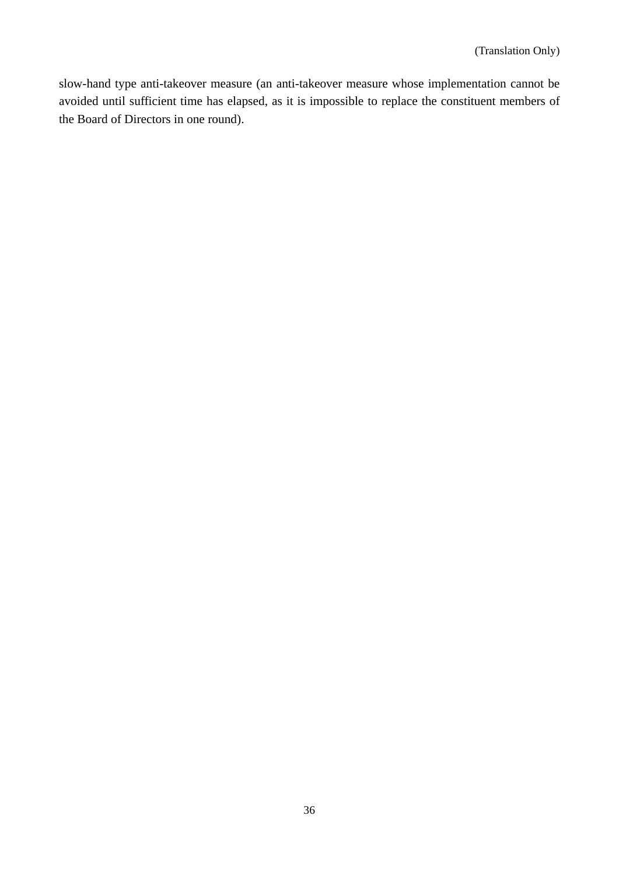slow-hand type anti-takeover measure (an anti-takeover measure whose implementation cannot be avoided until sufficient time has elapsed, as it is impossible to replace the constituent members of the Board of Directors in one round).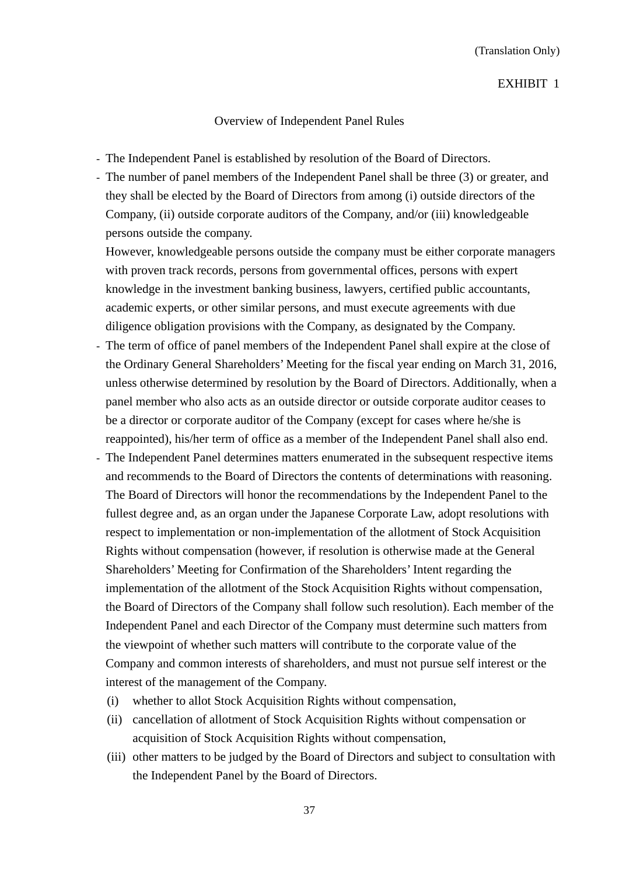### Overview of Independent Panel Rules

- The Independent Panel is established by resolution of the Board of Directors.
- The number of panel members of the Independent Panel shall be three (3) or greater, and they shall be elected by the Board of Directors from among (i) outside directors of the Company, (ii) outside corporate auditors of the Company, and/or (iii) knowledgeable persons outside the company.

However, knowledgeable persons outside the company must be either corporate managers with proven track records, persons from governmental offices, persons with expert knowledge in the investment banking business, lawyers, certified public accountants, academic experts, or other similar persons, and must execute agreements with due diligence obligation provisions with the Company, as designated by the Company.

- The term of office of panel members of the Independent Panel shall expire at the close of the Ordinary General Shareholders' Meeting for the fiscal year ending on March 31, 2016, unless otherwise determined by resolution by the Board of Directors. Additionally, when a panel member who also acts as an outside director or outside corporate auditor ceases to be a director or corporate auditor of the Company (except for cases where he/she is reappointed), his/her term of office as a member of the Independent Panel shall also end.
- The Independent Panel determines matters enumerated in the subsequent respective items and recommends to the Board of Directors the contents of determinations with reasoning. The Board of Directors will honor the recommendations by the Independent Panel to the fullest degree and, as an organ under the Japanese Corporate Law, adopt resolutions with respect to implementation or non-implementation of the allotment of Stock Acquisition Rights without compensation (however, if resolution is otherwise made at the General Shareholders' Meeting for Confirmation of the Shareholders' Intent regarding the implementation of the allotment of the Stock Acquisition Rights without compensation, the Board of Directors of the Company shall follow such resolution). Each member of the Independent Panel and each Director of the Company must determine such matters from the viewpoint of whether such matters will contribute to the corporate value of the Company and common interests of shareholders, and must not pursue self interest or the interest of the management of the Company.
	- (i) whether to allot Stock Acquisition Rights without compensation,
	- (ii) cancellation of allotment of Stock Acquisition Rights without compensation or acquisition of Stock Acquisition Rights without compensation,
	- (iii) other matters to be judged by the Board of Directors and subject to consultation with the Independent Panel by the Board of Directors.

37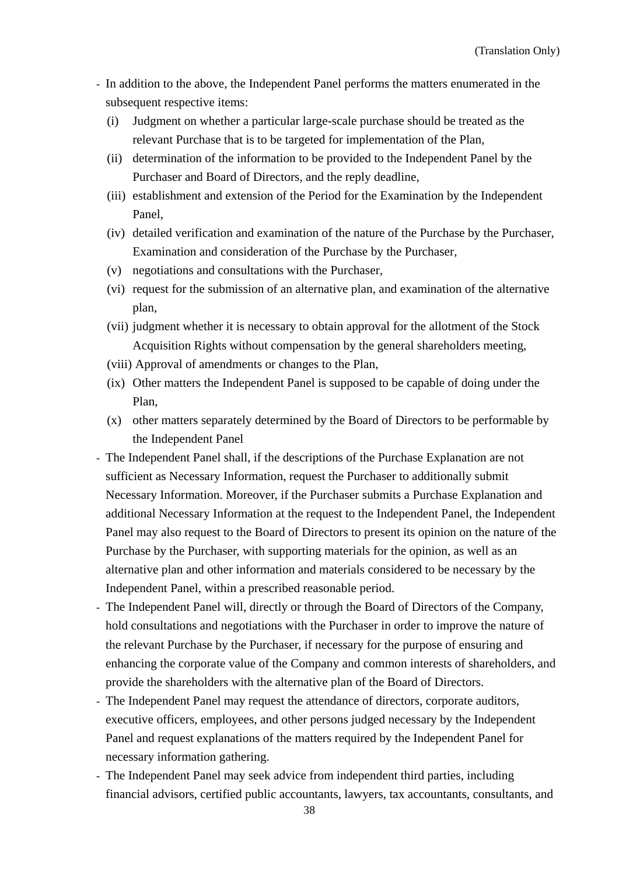- In addition to the above, the Independent Panel performs the matters enumerated in the subsequent respective items:
	- (i) Judgment on whether a particular large-scale purchase should be treated as the relevant Purchase that is to be targeted for implementation of the Plan,
	- (ii) determination of the information to be provided to the Independent Panel by the Purchaser and Board of Directors, and the reply deadline,
	- (iii) establishment and extension of the Period for the Examination by the Independent Panel,
	- (iv) detailed verification and examination of the nature of the Purchase by the Purchaser, Examination and consideration of the Purchase by the Purchaser,
	- (v) negotiations and consultations with the Purchaser,
	- (vi) request for the submission of an alternative plan, and examination of the alternative plan,
	- (vii) judgment whether it is necessary to obtain approval for the allotment of the Stock Acquisition Rights without compensation by the general shareholders meeting,
	- (viii) Approval of amendments or changes to the Plan,
	- (ix) Other matters the Independent Panel is supposed to be capable of doing under the Plan,
	- (x) other matters separately determined by the Board of Directors to be performable by the Independent Panel
- The Independent Panel shall, if the descriptions of the Purchase Explanation are not sufficient as Necessary Information, request the Purchaser to additionally submit Necessary Information. Moreover, if the Purchaser submits a Purchase Explanation and additional Necessary Information at the request to the Independent Panel, the Independent Panel may also request to the Board of Directors to present its opinion on the nature of the Purchase by the Purchaser, with supporting materials for the opinion, as well as an alternative plan and other information and materials considered to be necessary by the Independent Panel, within a prescribed reasonable period.
- The Independent Panel will, directly or through the Board of Directors of the Company, hold consultations and negotiations with the Purchaser in order to improve the nature of the relevant Purchase by the Purchaser, if necessary for the purpose of ensuring and enhancing the corporate value of the Company and common interests of shareholders, and provide the shareholders with the alternative plan of the Board of Directors.
- The Independent Panel may request the attendance of directors, corporate auditors, executive officers, employees, and other persons judged necessary by the Independent Panel and request explanations of the matters required by the Independent Panel for necessary information gathering.
- The Independent Panel may seek advice from independent third parties, including financial advisors, certified public accountants, lawyers, tax accountants, consultants, and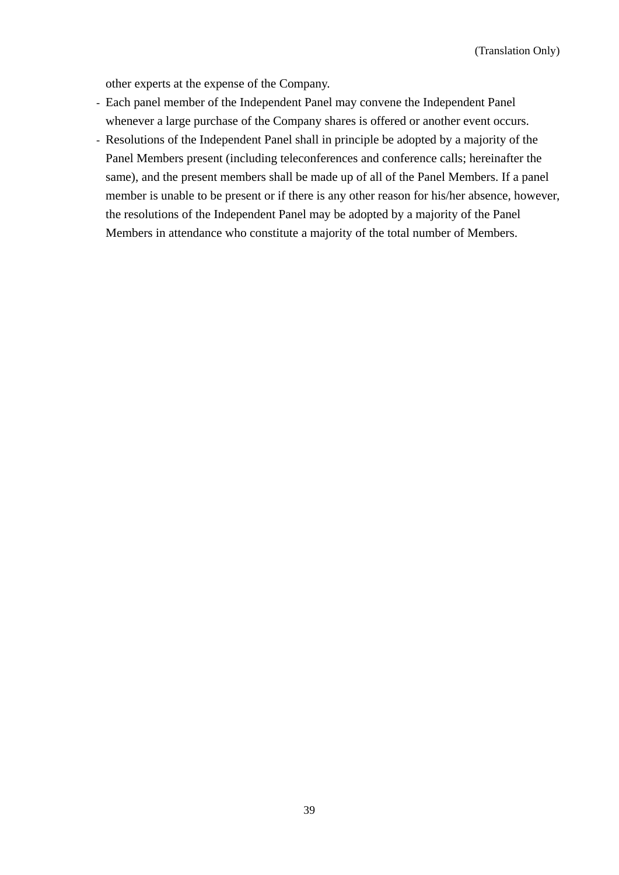other experts at the expense of the Company.

- Each panel member of the Independent Panel may convene the Independent Panel whenever a large purchase of the Company shares is offered or another event occurs.
- Resolutions of the Independent Panel shall in principle be adopted by a majority of the Panel Members present (including teleconferences and conference calls; hereinafter the same), and the present members shall be made up of all of the Panel Members. If a panel member is unable to be present or if there is any other reason for his/her absence, however, the resolutions of the Independent Panel may be adopted by a majority of the Panel Members in attendance who constitute a majority of the total number of Members.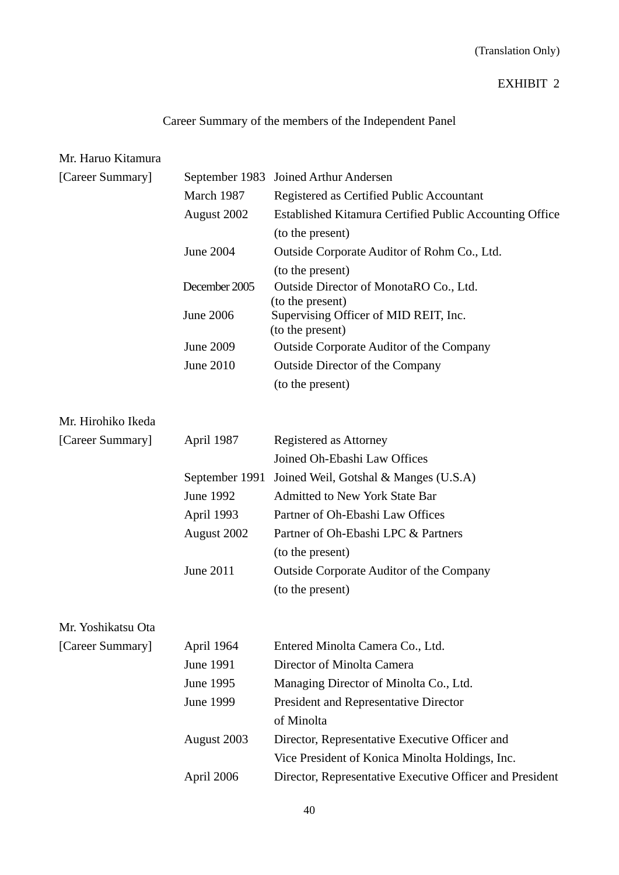## (Translation Only)

## EXHIBIT 2

# Career Summary of the members of the Independent Panel

## Mr. Haruo Kitamura

| [Career Summary]   | September 1983   | Joined Arthur Andersen                                     |
|--------------------|------------------|------------------------------------------------------------|
|                    | March 1987       | Registered as Certified Public Accountant                  |
|                    | August 2002      | Established Kitamura Certified Public Accounting Office    |
|                    |                  | (to the present)                                           |
|                    | June 2004        | Outside Corporate Auditor of Rohm Co., Ltd.                |
|                    |                  | (to the present)                                           |
|                    | December 2005    | Outside Director of MonotaRO Co., Ltd.<br>(to the present) |
|                    | <b>June 2006</b> | Supervising Officer of MID REIT, Inc.<br>(to the present)  |
|                    | June 2009        | <b>Outside Corporate Auditor of the Company</b>            |
|                    | June 2010        | <b>Outside Director of the Company</b>                     |
|                    |                  | (to the present)                                           |
| Mr. Hirohiko Ikeda |                  |                                                            |
| [Career Summary]   | April 1987       | Registered as Attorney                                     |
|                    |                  | Joined Oh-Ebashi Law Offices                               |
|                    | September 1991   | Joined Weil, Gotshal & Manges (U.S.A)                      |
|                    | June 1992        | <b>Admitted to New York State Bar</b>                      |
|                    | April 1993       | Partner of Oh-Ebashi Law Offices                           |
|                    | August 2002      | Partner of Oh-Ebashi LPC & Partners                        |
|                    |                  | (to the present)                                           |
|                    | June 2011        | <b>Outside Corporate Auditor of the Company</b>            |
|                    |                  | (to the present)                                           |
| Mr. Yoshikatsu Ota |                  |                                                            |
| [Career Summary]   | April 1964       | Entered Minolta Camera Co., Ltd.                           |
|                    | June 1991        | Director of Minolta Camera                                 |
|                    | June 1995        | Managing Director of Minolta Co., Ltd.                     |
|                    | <b>June 1999</b> | President and Representative Director                      |
|                    |                  | of Minolta                                                 |
|                    | August 2003      | Director, Representative Executive Officer and             |
|                    |                  | Vice President of Konica Minolta Holdings, Inc.            |
|                    | April 2006       | Director, Representative Executive Officer and President   |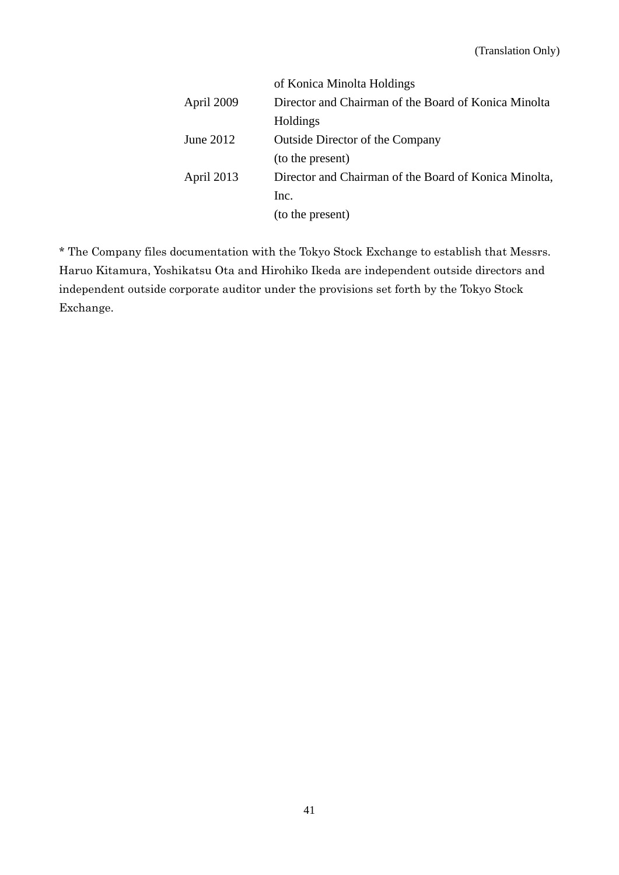|             | of Konica Minolta Holdings                            |
|-------------|-------------------------------------------------------|
| April 2009  | Director and Chairman of the Board of Konica Minolta  |
|             | Holdings                                              |
| June $2012$ | <b>Outside Director of the Company</b>                |
|             | (to the present)                                      |
| April 2013  | Director and Chairman of the Board of Konica Minolta, |
|             | Inc.                                                  |
|             | (to the present)                                      |

\* The Company files documentation with the Tokyo Stock Exchange to establish that Messrs. Haruo Kitamura, Yoshikatsu Ota and Hirohiko Ikeda are independent outside directors and independent outside corporate auditor under the provisions set forth by the Tokyo Stock Exchange.